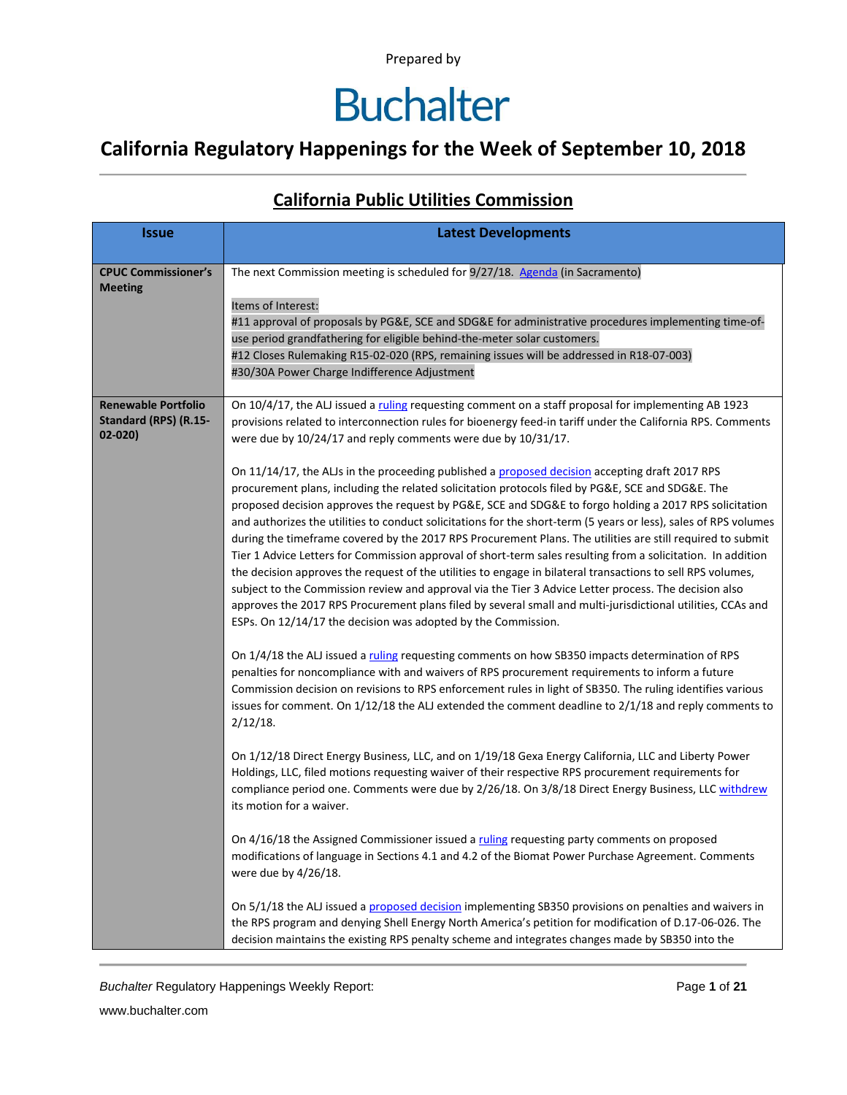### **Buchalter**

#### **California Regulatory Happenings for the Week of September 10, 2018**

#### **Issue Latest Developments CPUC Commissioner's Meeting** The next Commission meeting is scheduled for 9/27/18. [Agenda](http://docs.cpuc.ca.gov/publisheddocs/published/g000/m229/k069/229069191.pdf) (in Sacramento) Items of Interest: #11 approval of proposals by PG&E, SCE and SDG&E for administrative procedures implementing time-ofuse period grandfathering for eligible behind-the-meter solar customers. #12 Closes Rulemaking R15-02-020 (RPS, remaining issues will be addressed in R18-07-003) #30/30A Power Charge Indifference Adjustment **Renewable Portfolio Standard (RPS) (R.15- 02-020)** On 10/4/17, the ALJ issued [a ruling](http://docs.cpuc.ca.gov/PublishedDocs/Efile/G000/M196/K769/196769638.PDF) requesting comment on a staff proposal for implementing AB 1923 provisions related to interconnection rules for bioenergy feed-in tariff under the California RPS. Comments were due by 10/24/17 and reply comments were due by 10/31/17. On 11/14/17, the ALJs in the proceeding published a [proposed decision](http://docs.cpuc.ca.gov/PublishedDocs/Efile/G000/M198/K874/198874328.PDF) accepting draft 2017 RPS procurement plans, including the related solicitation protocols filed by PG&E, SCE and SDG&E. The proposed decision approves the request by PG&E, SCE and SDG&E to forgo holding a 2017 RPS solicitation and authorizes the utilities to conduct solicitations for the short-term (5 years or less), sales of RPS volumes during the timeframe covered by the 2017 RPS Procurement Plans. The utilities are still required to submit Tier 1 Advice Letters for Commission approval of short-term sales resulting from a solicitation. In addition the decision approves the request of the utilities to engage in bilateral transactions to sell RPS volumes, subject to the Commission review and approval via the Tier 3 Advice Letter process. The decision also approves the 2017 RPS Procurement plans filed by several small and multi-jurisdictional utilities, CCAs and ESPs. On 12/14/17 the decision was adopted by the Commission. On 1/4/18 the ALJ issued a [ruling](http://docs.cpuc.ca.gov/PublishedDocs/Efile/G000/M202/K276/202276332.PDF) requesting comments on how SB350 impacts determination of RPS penalties for noncompliance with and waivers of RPS procurement requirements to inform a future Commission decision on revisions to RPS enforcement rules in light of SB350. The ruling identifies various issues for comment. On 1/12/18 the ALJ extended the comment deadline to 2/1/18 and reply comments to 2/12/18. On 1/12/18 Direct Energy Business, LLC, and on 1/19/18 Gexa Energy California, LLC and Liberty Power Holdings, LLC, filed motions requesting waiver of their respective RPS procurement requirements for compliance period one. Comments were due by 2/26/18. On 3/8/18 Direct Energy Business, LLC [withdrew](http://docs.cpuc.ca.gov/PublishedDocs/Efile/G000/M212/K017/212017954.PDF) its motion for a waiver. On 4/16/18 the Assigned Commissioner issued [a ruling](http://docs.cpuc.ca.gov/PublishedDocs/Efile/G000/M213/K120/213120122.PDF) requesting party comments on proposed modifications of language in Sections 4.1 and 4.2 of the Biomat Power Purchase Agreement. Comments were due by 4/26/18. On 5/1/18 the ALJ issued a [proposed decision](http://docs.cpuc.ca.gov/PublishedDocs/Efile/G000/M213/K823/213823880.PDF) implementing SB350 provisions on penalties and waivers in the RPS program and denying Shell Energy North America's petition for modification of D.17-06-026. The decision maintains the existing RPS penalty scheme and integrates changes made by SB350 into the

#### **California Public Utilities Commission**

*Buchalter* Regulatory Happenings Weekly Report: Page **1** of **21**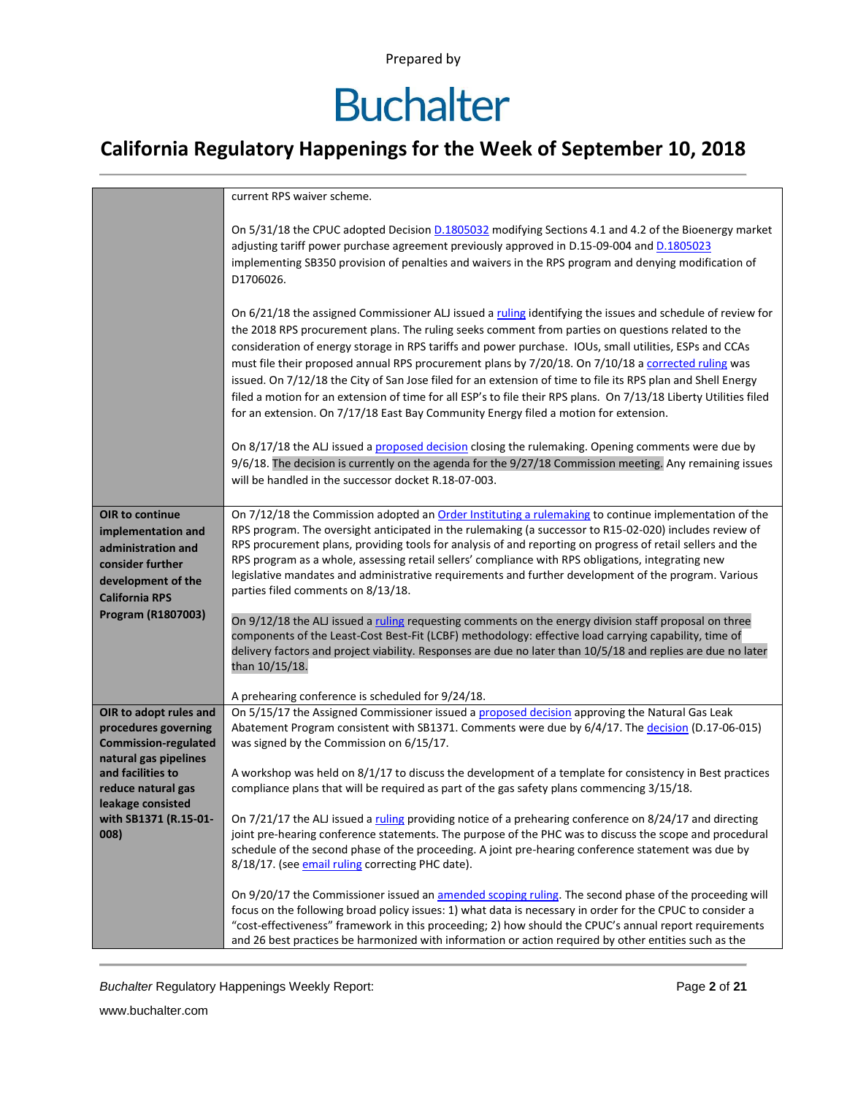# **Buchalter**

### **California Regulatory Happenings for the Week of September 10, 2018**

|                                                                                                                                | current RPS waiver scheme.                                                                                                                                                                                                                                                                                                                                                                                                                                                                                                                                                                                                                                                                                                                                     |
|--------------------------------------------------------------------------------------------------------------------------------|----------------------------------------------------------------------------------------------------------------------------------------------------------------------------------------------------------------------------------------------------------------------------------------------------------------------------------------------------------------------------------------------------------------------------------------------------------------------------------------------------------------------------------------------------------------------------------------------------------------------------------------------------------------------------------------------------------------------------------------------------------------|
|                                                                                                                                | On 5/31/18 the CPUC adopted Decision D.1805032 modifying Sections 4.1 and 4.2 of the Bioenergy market<br>adjusting tariff power purchase agreement previously approved in D.15-09-004 and D.1805023<br>implementing SB350 provision of penalties and waivers in the RPS program and denying modification of<br>D1706026.                                                                                                                                                                                                                                                                                                                                                                                                                                       |
|                                                                                                                                | On 6/21/18 the assigned Commissioner ALJ issued a ruling identifying the issues and schedule of review for<br>the 2018 RPS procurement plans. The ruling seeks comment from parties on questions related to the<br>consideration of energy storage in RPS tariffs and power purchase. IOUs, small utilities, ESPs and CCAs<br>must file their proposed annual RPS procurement plans by 7/20/18. On 7/10/18 a corrected ruling was<br>issued. On 7/12/18 the City of San Jose filed for an extension of time to file its RPS plan and Shell Energy<br>filed a motion for an extension of time for all ESP's to file their RPS plans. On 7/13/18 Liberty Utilities filed<br>for an extension. On 7/17/18 East Bay Community Energy filed a motion for extension. |
|                                                                                                                                | On 8/17/18 the ALJ issued a proposed decision closing the rulemaking. Opening comments were due by<br>9/6/18. The decision is currently on the agenda for the 9/27/18 Commission meeting. Any remaining issues<br>will be handled in the successor docket R.18-07-003.                                                                                                                                                                                                                                                                                                                                                                                                                                                                                         |
| OIR to continue<br>implementation and<br>administration and<br>consider further<br>development of the<br><b>California RPS</b> | On 7/12/18 the Commission adopted an Order Instituting a rulemaking to continue implementation of the<br>RPS program. The oversight anticipated in the rulemaking (a successor to R15-02-020) includes review of<br>RPS procurement plans, providing tools for analysis of and reporting on progress of retail sellers and the<br>RPS program as a whole, assessing retail sellers' compliance with RPS obligations, integrating new<br>legislative mandates and administrative requirements and further development of the program. Various<br>parties filed comments on 8/13/18.                                                                                                                                                                             |
| Program (R1807003)                                                                                                             | On 9/12/18 the ALJ issued a ruling requesting comments on the energy division staff proposal on three<br>components of the Least-Cost Best-Fit (LCBF) methodology: effective load carrying capability, time of<br>delivery factors and project viability. Responses are due no later than 10/5/18 and replies are due no later<br>than 10/15/18.                                                                                                                                                                                                                                                                                                                                                                                                               |
|                                                                                                                                | A prehearing conference is scheduled for 9/24/18.                                                                                                                                                                                                                                                                                                                                                                                                                                                                                                                                                                                                                                                                                                              |
| OIR to adopt rules and<br>procedures governing<br><b>Commission-regulated</b><br>natural gas pipelines                         | On 5/15/17 the Assigned Commissioner issued a proposed decision approving the Natural Gas Leak<br>Abatement Program consistent with SB1371. Comments were due by 6/4/17. The decision (D.17-06-015)<br>was signed by the Commission on 6/15/17.                                                                                                                                                                                                                                                                                                                                                                                                                                                                                                                |
| and facilities to<br>reduce natural gas<br>leakage consisted                                                                   | A workshop was held on 8/1/17 to discuss the development of a template for consistency in Best practices<br>compliance plans that will be required as part of the gas safety plans commencing 3/15/18.                                                                                                                                                                                                                                                                                                                                                                                                                                                                                                                                                         |
| with SB1371 (R.15-01-<br>008)                                                                                                  | On 7/21/17 the ALJ issued a ruling providing notice of a prehearing conference on 8/24/17 and directing<br>joint pre-hearing conference statements. The purpose of the PHC was to discuss the scope and procedural<br>schedule of the second phase of the proceeding. A joint pre-hearing conference statement was due by<br>8/18/17. (see email ruling correcting PHC date).                                                                                                                                                                                                                                                                                                                                                                                  |
|                                                                                                                                | On 9/20/17 the Commissioner issued an amended scoping ruling. The second phase of the proceeding will<br>focus on the following broad policy issues: 1) what data is necessary in order for the CPUC to consider a<br>"cost-effectiveness" framework in this proceeding; 2) how should the CPUC's annual report requirements<br>and 26 best practices be harmonized with information or action required by other entities such as the                                                                                                                                                                                                                                                                                                                          |

**Buchalter Regulatory Happenings Weekly Report:** Page 2 of 21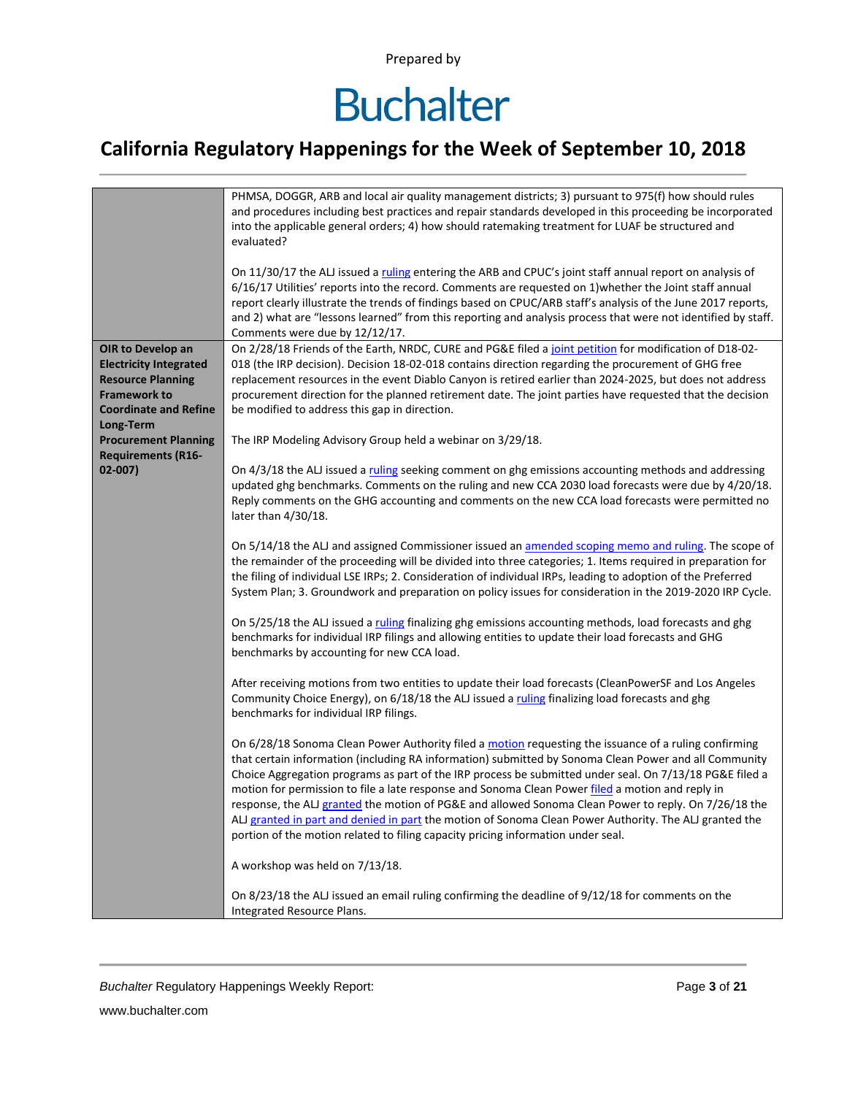### **Buchalter**

### **California Regulatory Happenings for the Week of September 10, 2018**

|                                                                                                                                                    | PHMSA, DOGGR, ARB and local air quality management districts; 3) pursuant to 975(f) how should rules<br>and procedures including best practices and repair standards developed in this proceeding be incorporated<br>into the applicable general orders; 4) how should ratemaking treatment for LUAF be structured and<br>evaluated?                                                                                                                                                                                                                                                                                                                                                                                                |
|----------------------------------------------------------------------------------------------------------------------------------------------------|-------------------------------------------------------------------------------------------------------------------------------------------------------------------------------------------------------------------------------------------------------------------------------------------------------------------------------------------------------------------------------------------------------------------------------------------------------------------------------------------------------------------------------------------------------------------------------------------------------------------------------------------------------------------------------------------------------------------------------------|
|                                                                                                                                                    | On 11/30/17 the ALJ issued a ruling entering the ARB and CPUC's joint staff annual report on analysis of<br>6/16/17 Utilities' reports into the record. Comments are requested on 1) whether the Joint staff annual<br>report clearly illustrate the trends of findings based on CPUC/ARB staff's analysis of the June 2017 reports,<br>and 2) what are "lessons learned" from this reporting and analysis process that were not identified by staff.<br>Comments were due by 12/12/17.                                                                                                                                                                                                                                             |
| OIR to Develop an<br><b>Electricity Integrated</b><br><b>Resource Planning</b><br><b>Framework to</b><br><b>Coordinate and Refine</b><br>Long-Term | On 2/28/18 Friends of the Earth, NRDC, CURE and PG&E filed a joint petition for modification of D18-02-<br>018 (the IRP decision). Decision 18-02-018 contains direction regarding the procurement of GHG free<br>replacement resources in the event Diablo Canyon is retired earlier than 2024-2025, but does not address<br>procurement direction for the planned retirement date. The joint parties have requested that the decision<br>be modified to address this gap in direction.                                                                                                                                                                                                                                            |
| <b>Procurement Planning</b>                                                                                                                        | The IRP Modeling Advisory Group held a webinar on 3/29/18.                                                                                                                                                                                                                                                                                                                                                                                                                                                                                                                                                                                                                                                                          |
| <b>Requirements (R16-</b><br>$02 - 007$                                                                                                            | On 4/3/18 the ALJ issued a ruling seeking comment on ghg emissions accounting methods and addressing<br>updated ghg benchmarks. Comments on the ruling and new CCA 2030 load forecasts were due by 4/20/18.<br>Reply comments on the GHG accounting and comments on the new CCA load forecasts were permitted no<br>later than 4/30/18.                                                                                                                                                                                                                                                                                                                                                                                             |
|                                                                                                                                                    | On 5/14/18 the ALJ and assigned Commissioner issued an amended scoping memo and ruling. The scope of<br>the remainder of the proceeding will be divided into three categories; 1. Items required in preparation for<br>the filing of individual LSE IRPs; 2. Consideration of individual IRPs, leading to adoption of the Preferred<br>System Plan; 3. Groundwork and preparation on policy issues for consideration in the 2019-2020 IRP Cycle.                                                                                                                                                                                                                                                                                    |
|                                                                                                                                                    | On 5/25/18 the ALJ issued a ruling finalizing ghg emissions accounting methods, load forecasts and ghg<br>benchmarks for individual IRP filings and allowing entities to update their load forecasts and GHG<br>benchmarks by accounting for new CCA load.                                                                                                                                                                                                                                                                                                                                                                                                                                                                          |
|                                                                                                                                                    | After receiving motions from two entities to update their load forecasts (CleanPowerSF and Los Angeles<br>Community Choice Energy), on 6/18/18 the ALJ issued a ruling finalizing load forecasts and ghg<br>benchmarks for individual IRP filings.                                                                                                                                                                                                                                                                                                                                                                                                                                                                                  |
|                                                                                                                                                    | On 6/28/18 Sonoma Clean Power Authority filed a motion requesting the issuance of a ruling confirming<br>that certain information (including RA information) submitted by Sonoma Clean Power and all Community<br>Choice Aggregation programs as part of the IRP process be submitted under seal. On 7/13/18 PG&E filed a<br>motion for permission to file a late response and Sonoma Clean Power filed a motion and reply in<br>response, the ALJ granted the motion of PG&E and allowed Sonoma Clean Power to reply. On 7/26/18 the<br>ALJ granted in part and denied in part the motion of Sonoma Clean Power Authority. The ALJ granted the<br>portion of the motion related to filing capacity pricing information under seal. |
|                                                                                                                                                    | A workshop was held on 7/13/18.                                                                                                                                                                                                                                                                                                                                                                                                                                                                                                                                                                                                                                                                                                     |
|                                                                                                                                                    | On 8/23/18 the ALJ issued an email ruling confirming the deadline of 9/12/18 for comments on the<br>Integrated Resource Plans.                                                                                                                                                                                                                                                                                                                                                                                                                                                                                                                                                                                                      |

**Buchalter Regulatory Happenings Weekly Report:** Page 3 of 21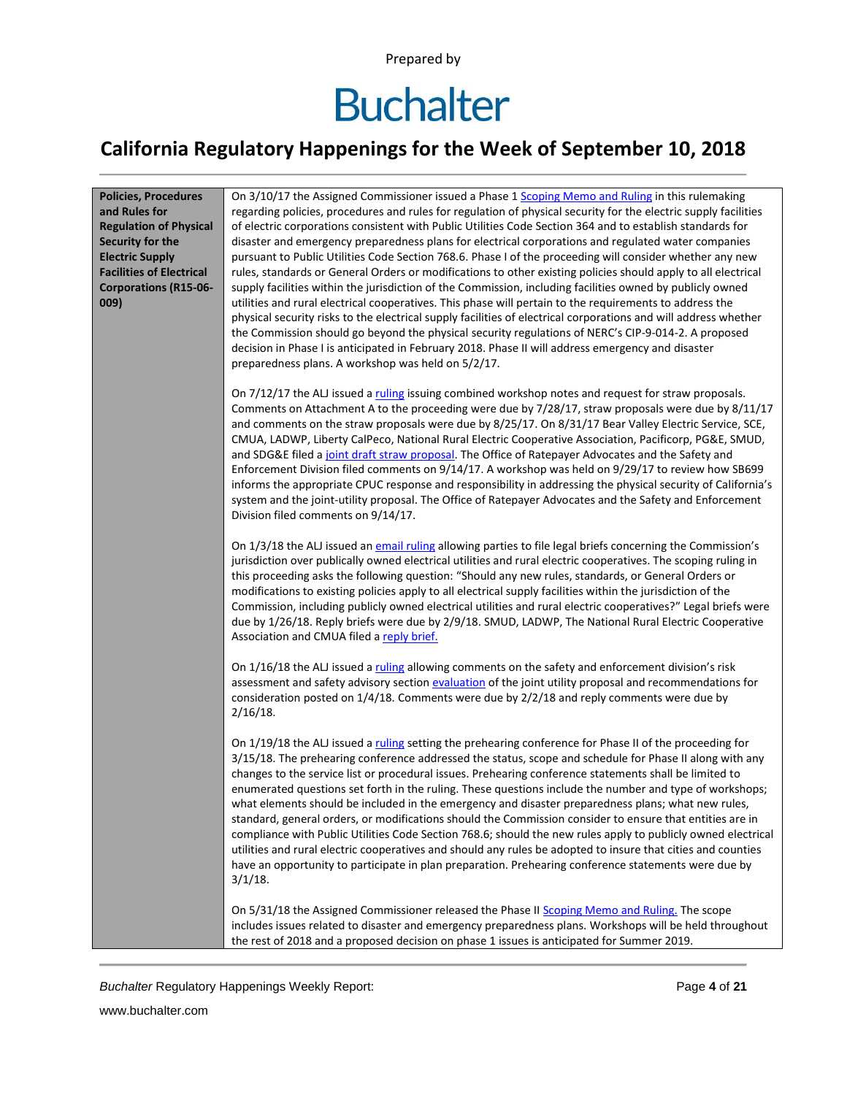## **Buchalter**

### **California Regulatory Happenings for the Week of September 10, 2018**

| <b>Policies, Procedures</b><br>and Rules for<br><b>Regulation of Physical</b><br>Security for the<br><b>Electric Supply</b><br><b>Facilities of Electrical</b><br><b>Corporations (R15-06-</b><br>009) | On 3/10/17 the Assigned Commissioner issued a Phase 1 Scoping Memo and Ruling in this rulemaking<br>regarding policies, procedures and rules for regulation of physical security for the electric supply facilities<br>of electric corporations consistent with Public Utilities Code Section 364 and to establish standards for<br>disaster and emergency preparedness plans for electrical corporations and regulated water companies<br>pursuant to Public Utilities Code Section 768.6. Phase I of the proceeding will consider whether any new<br>rules, standards or General Orders or modifications to other existing policies should apply to all electrical<br>supply facilities within the jurisdiction of the Commission, including facilities owned by publicly owned<br>utilities and rural electrical cooperatives. This phase will pertain to the requirements to address the<br>physical security risks to the electrical supply facilities of electrical corporations and will address whether<br>the Commission should go beyond the physical security regulations of NERC's CIP-9-014-2. A proposed<br>decision in Phase I is anticipated in February 2018. Phase II will address emergency and disaster<br>preparedness plans. A workshop was held on 5/2/17. |
|--------------------------------------------------------------------------------------------------------------------------------------------------------------------------------------------------------|-----------------------------------------------------------------------------------------------------------------------------------------------------------------------------------------------------------------------------------------------------------------------------------------------------------------------------------------------------------------------------------------------------------------------------------------------------------------------------------------------------------------------------------------------------------------------------------------------------------------------------------------------------------------------------------------------------------------------------------------------------------------------------------------------------------------------------------------------------------------------------------------------------------------------------------------------------------------------------------------------------------------------------------------------------------------------------------------------------------------------------------------------------------------------------------------------------------------------------------------------------------------------------------|
|                                                                                                                                                                                                        | On 7/12/17 the ALJ issued a ruling issuing combined workshop notes and request for straw proposals.<br>Comments on Attachment A to the proceeding were due by 7/28/17, straw proposals were due by 8/11/17<br>and comments on the straw proposals were due by 8/25/17. On 8/31/17 Bear Valley Electric Service, SCE,<br>CMUA, LADWP, Liberty CalPeco, National Rural Electric Cooperative Association, Pacificorp, PG&E, SMUD,<br>and SDG&E filed a joint draft straw proposal. The Office of Ratepayer Advocates and the Safety and<br>Enforcement Division filed comments on 9/14/17. A workshop was held on 9/29/17 to review how SB699<br>informs the appropriate CPUC response and responsibility in addressing the physical security of California's<br>system and the joint-utility proposal. The Office of Ratepayer Advocates and the Safety and Enforcement<br>Division filed comments on 9/14/17.                                                                                                                                                                                                                                                                                                                                                                      |
|                                                                                                                                                                                                        | On 1/3/18 the ALJ issued an email ruling allowing parties to file legal briefs concerning the Commission's<br>jurisdiction over publically owned electrical utilities and rural electric cooperatives. The scoping ruling in<br>this proceeding asks the following question: "Should any new rules, standards, or General Orders or<br>modifications to existing policies apply to all electrical supply facilities within the jurisdiction of the<br>Commission, including publicly owned electrical utilities and rural electric cooperatives?" Legal briefs were<br>due by 1/26/18. Reply briefs were due by 2/9/18. SMUD, LADWP, The National Rural Electric Cooperative<br>Association and CMUA filed a reply brief.                                                                                                                                                                                                                                                                                                                                                                                                                                                                                                                                                         |
|                                                                                                                                                                                                        | On 1/16/18 the ALJ issued a ruling allowing comments on the safety and enforcement division's risk<br>assessment and safety advisory section evaluation of the joint utility proposal and recommendations for<br>consideration posted on 1/4/18. Comments were due by 2/2/18 and reply comments were due by<br>$2/16/18$ .                                                                                                                                                                                                                                                                                                                                                                                                                                                                                                                                                                                                                                                                                                                                                                                                                                                                                                                                                        |
|                                                                                                                                                                                                        | On 1/19/18 the ALJ issued a ruling setting the prehearing conference for Phase II of the proceeding for<br>3/15/18. The prehearing conference addressed the status, scope and schedule for Phase II along with any<br>changes to the service list or procedural issues. Prehearing conference statements shall be limited to<br>enumerated questions set forth in the ruling. These questions include the number and type of workshops;<br>what elements should be included in the emergency and disaster preparedness plans; what new rules,<br>standard, general orders, or modifications should the Commission consider to ensure that entities are in<br>compliance with Public Utilities Code Section 768.6; should the new rules apply to publicly owned electrical<br>utilities and rural electric cooperatives and should any rules be adopted to insure that cities and counties<br>have an opportunity to participate in plan preparation. Prehearing conference statements were due by<br>$3/1/18$ .                                                                                                                                                                                                                                                                   |
|                                                                                                                                                                                                        | On 5/31/18 the Assigned Commissioner released the Phase II Scoping Memo and Ruling. The scope<br>includes issues related to disaster and emergency preparedness plans. Workshops will be held throughout<br>the rest of 2018 and a proposed decision on phase 1 issues is anticipated for Summer 2019.                                                                                                                                                                                                                                                                                                                                                                                                                                                                                                                                                                                                                                                                                                                                                                                                                                                                                                                                                                            |

**Buchalter Regulatory Happenings Weekly Report:** Page 4 of 21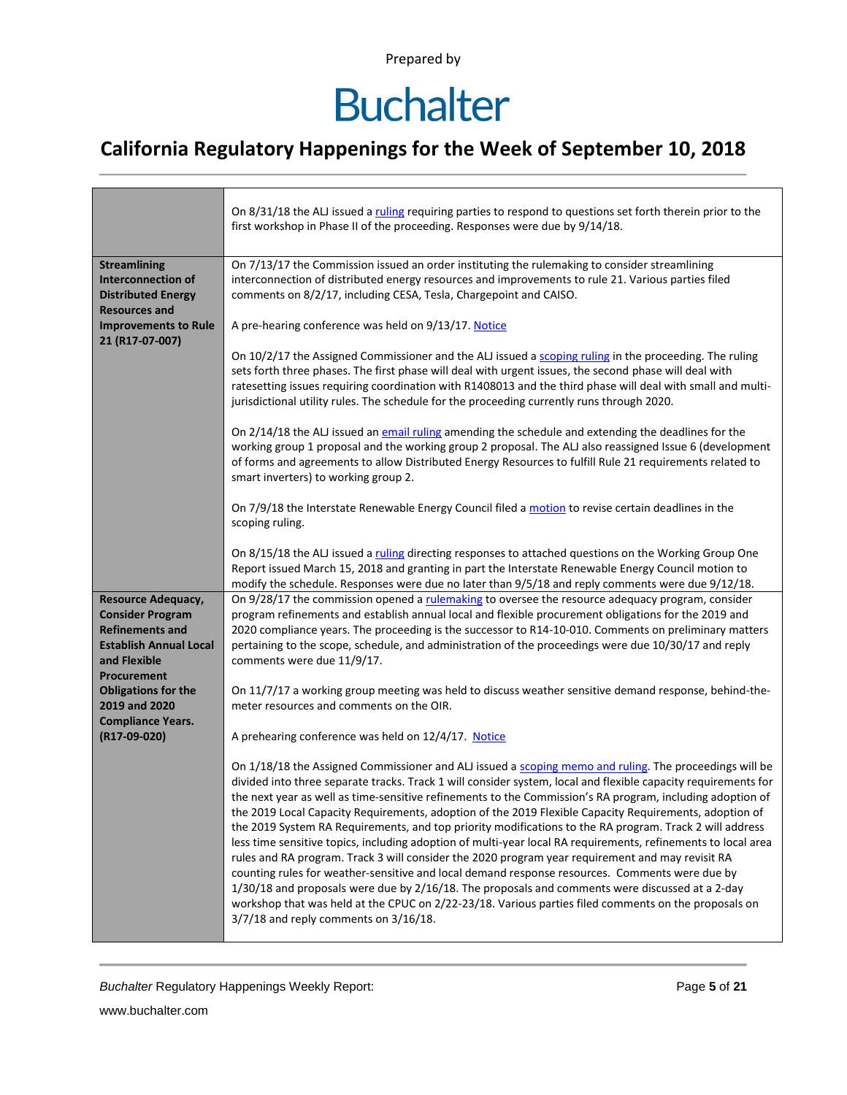## **Buchalter**

### **California Regulatory Happenings for the Week of September 10, 2018**

|                                                                                                                                                | On 8/31/18 the ALJ issued a ruling requiring parties to respond to questions set forth therein prior to the<br>first workshop in Phase II of the proceeding. Responses were due by 9/14/18.                                                                                                                                                                                                                                                                                                                                                                                                                                                                                                                                                                                                                                                                                                                                                                                                                                                                                                                                                |
|------------------------------------------------------------------------------------------------------------------------------------------------|--------------------------------------------------------------------------------------------------------------------------------------------------------------------------------------------------------------------------------------------------------------------------------------------------------------------------------------------------------------------------------------------------------------------------------------------------------------------------------------------------------------------------------------------------------------------------------------------------------------------------------------------------------------------------------------------------------------------------------------------------------------------------------------------------------------------------------------------------------------------------------------------------------------------------------------------------------------------------------------------------------------------------------------------------------------------------------------------------------------------------------------------|
| <b>Streamlining</b><br>Interconnection of<br><b>Distributed Energy</b><br><b>Resources and</b>                                                 | On 7/13/17 the Commission issued an order instituting the rulemaking to consider streamlining<br>interconnection of distributed energy resources and improvements to rule 21. Various parties filed<br>comments on 8/2/17, including CESA, Tesla, Chargepoint and CAISO.                                                                                                                                                                                                                                                                                                                                                                                                                                                                                                                                                                                                                                                                                                                                                                                                                                                                   |
| <b>Improvements to Rule</b><br>21 (R17-07-007)                                                                                                 | A pre-hearing conference was held on 9/13/17. Notice                                                                                                                                                                                                                                                                                                                                                                                                                                                                                                                                                                                                                                                                                                                                                                                                                                                                                                                                                                                                                                                                                       |
|                                                                                                                                                | On 10/2/17 the Assigned Commissioner and the ALJ issued a scoping ruling in the proceeding. The ruling<br>sets forth three phases. The first phase will deal with urgent issues, the second phase will deal with<br>ratesetting issues requiring coordination with R1408013 and the third phase will deal with small and multi-<br>jurisdictional utility rules. The schedule for the proceeding currently runs through 2020.                                                                                                                                                                                                                                                                                                                                                                                                                                                                                                                                                                                                                                                                                                              |
|                                                                                                                                                | On 2/14/18 the ALJ issued an email ruling amending the schedule and extending the deadlines for the<br>working group 1 proposal and the working group 2 proposal. The ALJ also reassigned Issue 6 (development<br>of forms and agreements to allow Distributed Energy Resources to fulfill Rule 21 requirements related to<br>smart inverters) to working group 2.                                                                                                                                                                                                                                                                                                                                                                                                                                                                                                                                                                                                                                                                                                                                                                         |
|                                                                                                                                                | On 7/9/18 the Interstate Renewable Energy Council filed a motion to revise certain deadlines in the<br>scoping ruling.                                                                                                                                                                                                                                                                                                                                                                                                                                                                                                                                                                                                                                                                                                                                                                                                                                                                                                                                                                                                                     |
|                                                                                                                                                | On 8/15/18 the ALJ issued a ruling directing responses to attached questions on the Working Group One<br>Report issued March 15, 2018 and granting in part the Interstate Renewable Energy Council motion to<br>modify the schedule. Responses were due no later than 9/5/18 and reply comments were due 9/12/18.                                                                                                                                                                                                                                                                                                                                                                                                                                                                                                                                                                                                                                                                                                                                                                                                                          |
| Resource Adequacy,<br><b>Consider Program</b><br><b>Refinements and</b><br><b>Establish Annual Local</b><br>and Flexible<br><b>Procurement</b> | On 9/28/17 the commission opened a rulemaking to oversee the resource adequacy program, consider<br>program refinements and establish annual local and flexible procurement obligations for the 2019 and<br>2020 compliance years. The proceeding is the successor to R14-10-010. Comments on preliminary matters<br>pertaining to the scope, schedule, and administration of the proceedings were due 10/30/17 and reply<br>comments were due 11/9/17.                                                                                                                                                                                                                                                                                                                                                                                                                                                                                                                                                                                                                                                                                    |
| <b>Obligations for the</b><br>2019 and 2020<br><b>Compliance Years.</b>                                                                        | On 11/7/17 a working group meeting was held to discuss weather sensitive demand response, behind-the-<br>meter resources and comments on the OIR.                                                                                                                                                                                                                                                                                                                                                                                                                                                                                                                                                                                                                                                                                                                                                                                                                                                                                                                                                                                          |
| (R17-09-020)                                                                                                                                   | A prehearing conference was held on 12/4/17. Notice                                                                                                                                                                                                                                                                                                                                                                                                                                                                                                                                                                                                                                                                                                                                                                                                                                                                                                                                                                                                                                                                                        |
|                                                                                                                                                | On 1/18/18 the Assigned Commissioner and ALJ issued a scoping memo and ruling. The proceedings will be<br>divided into three separate tracks. Track 1 will consider system, local and flexible capacity requirements for<br>the next year as well as time-sensitive refinements to the Commission's RA program, including adoption of<br>the 2019 Local Capacity Requirements, adoption of the 2019 Flexible Capacity Requirements, adoption of<br>the 2019 System RA Requirements, and top priority modifications to the RA program. Track 2 will address<br>less time sensitive topics, including adoption of multi-year local RA requirements, refinements to local area<br>rules and RA program. Track 3 will consider the 2020 program year requirement and may revisit RA<br>counting rules for weather-sensitive and local demand response resources. Comments were due by<br>1/30/18 and proposals were due by 2/16/18. The proposals and comments were discussed at a 2-day<br>workshop that was held at the CPUC on 2/22-23/18. Various parties filed comments on the proposals on<br>$3/7/18$ and reply comments on $3/16/18$ . |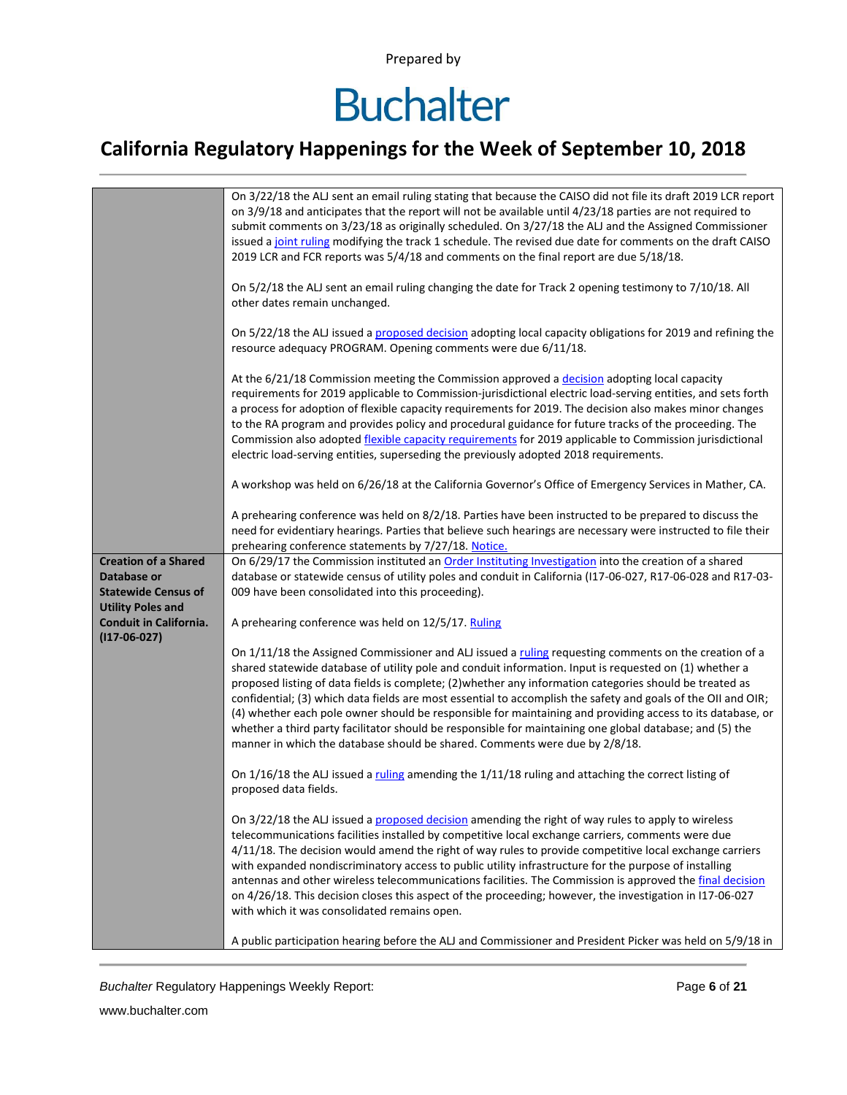## **Buchalter**

### **California Regulatory Happenings for the Week of September 10, 2018**

|                                           | On 3/22/18 the ALJ sent an email ruling stating that because the CAISO did not file its draft 2019 LCR report<br>on 3/9/18 and anticipates that the report will not be available until 4/23/18 parties are not required to<br>submit comments on 3/23/18 as originally scheduled. On 3/27/18 the ALJ and the Assigned Commissioner<br>issued a joint ruling modifying the track 1 schedule. The revised due date for comments on the draft CAISO<br>2019 LCR and FCR reports was 5/4/18 and comments on the final report are due 5/18/18.<br>On 5/2/18 the ALJ sent an email ruling changing the date for Track 2 opening testimony to 7/10/18. All<br>other dates remain unchanged.<br>On 5/22/18 the ALJ issued a proposed decision adopting local capacity obligations for 2019 and refining the<br>resource adequacy PROGRAM. Opening comments were due 6/11/18.<br>At the 6/21/18 Commission meeting the Commission approved a decision adopting local capacity<br>requirements for 2019 applicable to Commission-jurisdictional electric load-serving entities, and sets forth<br>a process for adoption of flexible capacity requirements for 2019. The decision also makes minor changes |
|-------------------------------------------|--------------------------------------------------------------------------------------------------------------------------------------------------------------------------------------------------------------------------------------------------------------------------------------------------------------------------------------------------------------------------------------------------------------------------------------------------------------------------------------------------------------------------------------------------------------------------------------------------------------------------------------------------------------------------------------------------------------------------------------------------------------------------------------------------------------------------------------------------------------------------------------------------------------------------------------------------------------------------------------------------------------------------------------------------------------------------------------------------------------------------------------------------------------------------------------------------|
|                                           | to the RA program and provides policy and procedural guidance for future tracks of the proceeding. The<br>Commission also adopted flexible capacity requirements for 2019 applicable to Commission jurisdictional<br>electric load-serving entities, superseding the previously adopted 2018 requirements.                                                                                                                                                                                                                                                                                                                                                                                                                                                                                                                                                                                                                                                                                                                                                                                                                                                                                       |
|                                           | A workshop was held on 6/26/18 at the California Governor's Office of Emergency Services in Mather, CA.                                                                                                                                                                                                                                                                                                                                                                                                                                                                                                                                                                                                                                                                                                                                                                                                                                                                                                                                                                                                                                                                                          |
|                                           | A prehearing conference was held on 8/2/18. Parties have been instructed to be prepared to discuss the<br>need for evidentiary hearings. Parties that believe such hearings are necessary were instructed to file their<br>prehearing conference statements by 7/27/18. Notice.                                                                                                                                                                                                                                                                                                                                                                                                                                                                                                                                                                                                                                                                                                                                                                                                                                                                                                                  |
| <b>Creation of a Shared</b>               | On 6/29/17 the Commission instituted an Order Instituting Investigation into the creation of a shared                                                                                                                                                                                                                                                                                                                                                                                                                                                                                                                                                                                                                                                                                                                                                                                                                                                                                                                                                                                                                                                                                            |
| Database or<br><b>Statewide Census of</b> | database or statewide census of utility poles and conduit in California (I17-06-027, R17-06-028 and R17-03-<br>009 have been consolidated into this proceeding).                                                                                                                                                                                                                                                                                                                                                                                                                                                                                                                                                                                                                                                                                                                                                                                                                                                                                                                                                                                                                                 |
| <b>Utility Poles and</b>                  |                                                                                                                                                                                                                                                                                                                                                                                                                                                                                                                                                                                                                                                                                                                                                                                                                                                                                                                                                                                                                                                                                                                                                                                                  |
| Conduit in California.<br>$(117-06-027)$  | A prehearing conference was held on 12/5/17. Ruling                                                                                                                                                                                                                                                                                                                                                                                                                                                                                                                                                                                                                                                                                                                                                                                                                                                                                                                                                                                                                                                                                                                                              |
|                                           | On 1/11/18 the Assigned Commissioner and ALJ issued a ruling requesting comments on the creation of a<br>shared statewide database of utility pole and conduit information. Input is requested on (1) whether a<br>proposed listing of data fields is complete; (2) whether any information categories should be treated as<br>confidential; (3) which data fields are most essential to accomplish the safety and goals of the OII and OIR;<br>(4) whether each pole owner should be responsible for maintaining and providing access to its database, or<br>whether a third party facilitator should be responsible for maintaining one global database; and (5) the<br>manner in which the database should be shared. Comments were due by 2/8/18.                                                                                                                                                                                                                                                                                                                                                                                                                                            |
|                                           | On 1/16/18 the ALJ issued a ruling amending the 1/11/18 ruling and attaching the correct listing of<br>proposed data fields.                                                                                                                                                                                                                                                                                                                                                                                                                                                                                                                                                                                                                                                                                                                                                                                                                                                                                                                                                                                                                                                                     |
|                                           | On 3/22/18 the ALJ issued a proposed decision amending the right of way rules to apply to wireless<br>telecommunications facilities installed by competitive local exchange carriers, comments were due<br>4/11/18. The decision would amend the right of way rules to provide competitive local exchange carriers<br>with expanded nondiscriminatory access to public utility infrastructure for the purpose of installing<br>antennas and other wireless telecommunications facilities. The Commission is approved the final decision<br>on 4/26/18. This decision closes this aspect of the proceeding; however, the investigation in I17-06-027<br>with which it was consolidated remains open.<br>A public participation hearing before the ALJ and Commissioner and President Picker was held on 5/9/18 in                                                                                                                                                                                                                                                                                                                                                                                 |
|                                           |                                                                                                                                                                                                                                                                                                                                                                                                                                                                                                                                                                                                                                                                                                                                                                                                                                                                                                                                                                                                                                                                                                                                                                                                  |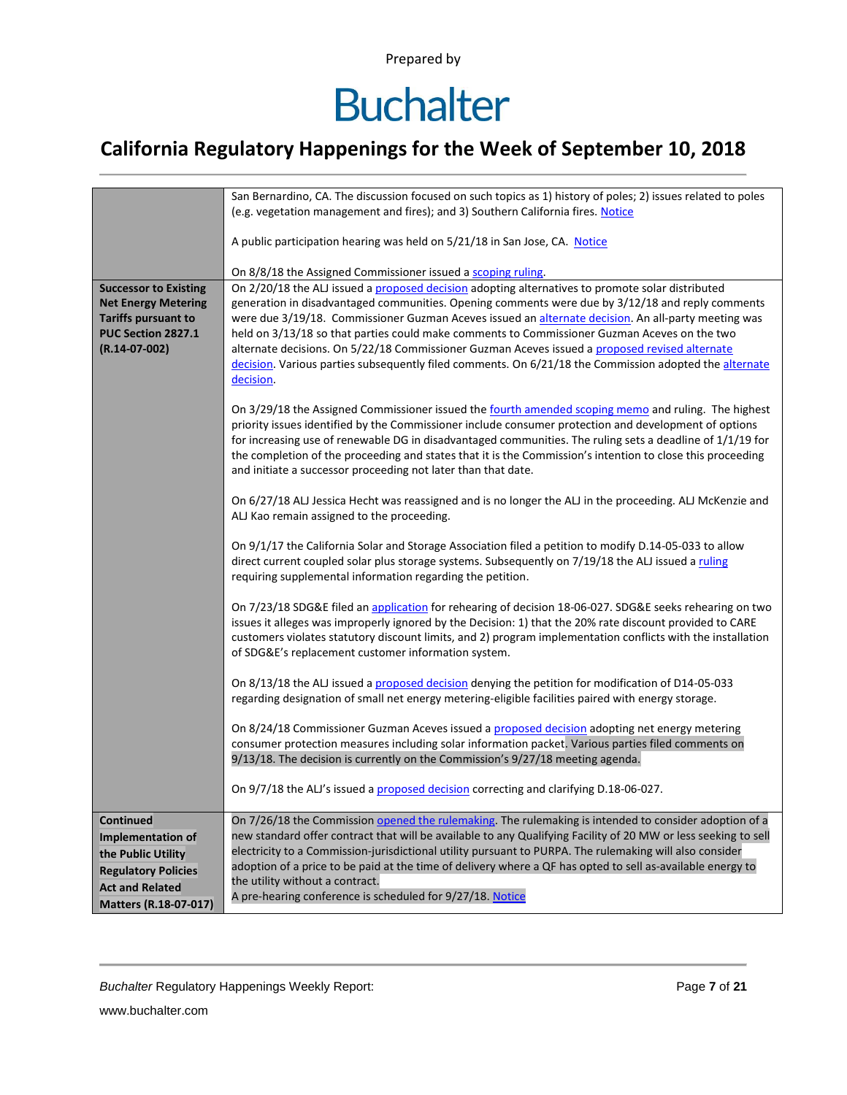## **Buchalter**

### **California Regulatory Happenings for the Week of September 10, 2018**

|                                       | San Bernardino, CA. The discussion focused on such topics as 1) history of poles; 2) issues related to poles                                                                                                          |
|---------------------------------------|-----------------------------------------------------------------------------------------------------------------------------------------------------------------------------------------------------------------------|
|                                       | (e.g. vegetation management and fires); and 3) Southern California fires. Notice                                                                                                                                      |
|                                       | A public participation hearing was held on 5/21/18 in San Jose, CA. Notice                                                                                                                                            |
|                                       | On 8/8/18 the Assigned Commissioner issued a scoping ruling.                                                                                                                                                          |
| <b>Successor to Existing</b>          | On 2/20/18 the ALJ issued a proposed decision adopting alternatives to promote solar distributed                                                                                                                      |
| <b>Net Energy Metering</b>            | generation in disadvantaged communities. Opening comments were due by 3/12/18 and reply comments                                                                                                                      |
| <b>Tariffs pursuant to</b>            | were due 3/19/18. Commissioner Guzman Aceves issued an alternate decision. An all-party meeting was                                                                                                                   |
| PUC Section 2827.1<br>$(R.14-07-002)$ | held on 3/13/18 so that parties could make comments to Commissioner Guzman Aceves on the two<br>alternate decisions. On 5/22/18 Commissioner Guzman Aceves issued a proposed revised alternate                        |
|                                       | decision. Various parties subsequently filed comments. On 6/21/18 the Commission adopted the alternate<br>decision.                                                                                                   |
|                                       |                                                                                                                                                                                                                       |
|                                       | On 3/29/18 the Assigned Commissioner issued the fourth amended scoping memo and ruling. The highest<br>priority issues identified by the Commissioner include consumer protection and development of options          |
|                                       | for increasing use of renewable DG in disadvantaged communities. The ruling sets a deadline of 1/1/19 for                                                                                                             |
|                                       | the completion of the proceeding and states that it is the Commission's intention to close this proceeding<br>and initiate a successor proceeding not later than that date.                                           |
|                                       |                                                                                                                                                                                                                       |
|                                       | On 6/27/18 ALJ Jessica Hecht was reassigned and is no longer the ALJ in the proceeding. ALJ McKenzie and<br>ALJ Kao remain assigned to the proceeding.                                                                |
|                                       |                                                                                                                                                                                                                       |
|                                       | On 9/1/17 the California Solar and Storage Association filed a petition to modify D.14-05-033 to allow<br>direct current coupled solar plus storage systems. Subsequently on 7/19/18 the ALJ issued a ruling          |
|                                       | requiring supplemental information regarding the petition.                                                                                                                                                            |
|                                       | On 7/23/18 SDG&E filed an application for rehearing of decision 18-06-027. SDG&E seeks rehearing on two                                                                                                               |
|                                       | issues it alleges was improperly ignored by the Decision: 1) that the 20% rate discount provided to CARE                                                                                                              |
|                                       | customers violates statutory discount limits, and 2) program implementation conflicts with the installation<br>of SDG&E's replacement customer information system.                                                    |
|                                       |                                                                                                                                                                                                                       |
|                                       | On 8/13/18 the ALJ issued a proposed decision denying the petition for modification of D14-05-033<br>regarding designation of small net energy metering-eligible facilities paired with energy storage.               |
|                                       |                                                                                                                                                                                                                       |
|                                       | On 8/24/18 Commissioner Guzman Aceves issued a proposed decision adopting net energy metering                                                                                                                         |
|                                       | consumer protection measures including solar information packet. Various parties filed comments on<br>9/13/18. The decision is currently on the Commission's 9/27/18 meeting agenda.                                  |
|                                       |                                                                                                                                                                                                                       |
|                                       | On 9/7/18 the ALJ's issued a proposed decision correcting and clarifying D.18-06-027.                                                                                                                                 |
| <b>Continued</b>                      | On 7/26/18 the Commission opened the rulemaking. The rulemaking is intended to consider adoption of a                                                                                                                 |
| Implementation of                     | new standard offer contract that will be available to any Qualifying Facility of 20 MW or less seeking to sell                                                                                                        |
| the Public Utility                    | electricity to a Commission-jurisdictional utility pursuant to PURPA. The rulemaking will also consider<br>adoption of a price to be paid at the time of delivery where a QF has opted to sell as-available energy to |
| <b>Regulatory Policies</b>            | the utility without a contract.                                                                                                                                                                                       |
| <b>Act and Related</b>                | A pre-hearing conference is scheduled for 9/27/18. Notice                                                                                                                                                             |
| Matters (R.18-07-017)                 |                                                                                                                                                                                                                       |

**Buchalter Regulatory Happenings Weekly Report:** Page 7 of 21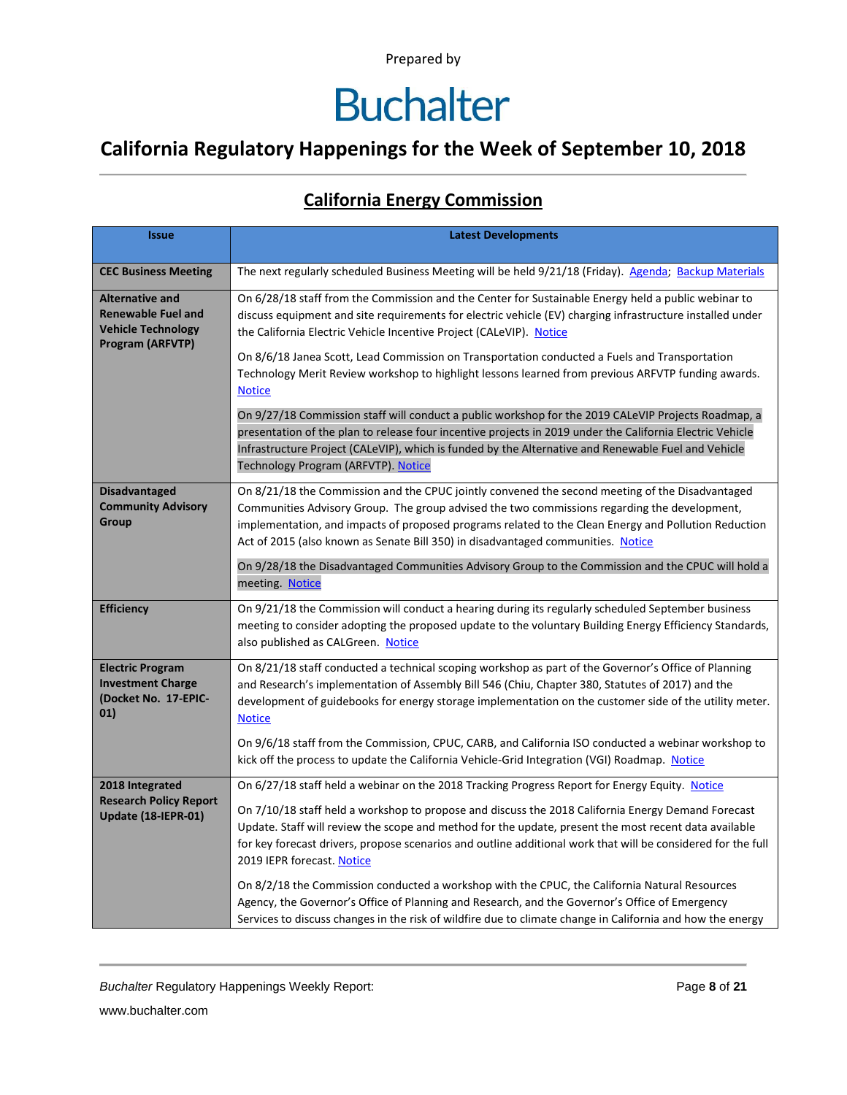## **Buchalter**

### **California Regulatory Happenings for the Week of September 10, 2018**

#### **California Energy Commission**

| <b>Issue</b>                                                                                         | <b>Latest Developments</b>                                                                                                                                                                                                                                                                                                                                                                  |
|------------------------------------------------------------------------------------------------------|---------------------------------------------------------------------------------------------------------------------------------------------------------------------------------------------------------------------------------------------------------------------------------------------------------------------------------------------------------------------------------------------|
| <b>CEC Business Meeting</b>                                                                          | The next regularly scheduled Business Meeting will be held 9/21/18 (Friday). Agenda; Backup Materials                                                                                                                                                                                                                                                                                       |
| <b>Alternative and</b><br><b>Renewable Fuel and</b><br><b>Vehicle Technology</b><br>Program (ARFVTP) | On 6/28/18 staff from the Commission and the Center for Sustainable Energy held a public webinar to<br>discuss equipment and site requirements for electric vehicle (EV) charging infrastructure installed under<br>the California Electric Vehicle Incentive Project (CALeVIP). Notice                                                                                                     |
|                                                                                                      | On 8/6/18 Janea Scott, Lead Commission on Transportation conducted a Fuels and Transportation<br>Technology Merit Review workshop to highlight lessons learned from previous ARFVTP funding awards.<br><b>Notice</b>                                                                                                                                                                        |
|                                                                                                      | On 9/27/18 Commission staff will conduct a public workshop for the 2019 CALeVIP Projects Roadmap, a<br>presentation of the plan to release four incentive projects in 2019 under the California Electric Vehicle<br>Infrastructure Project (CALeVIP), which is funded by the Alternative and Renewable Fuel and Vehicle<br>Technology Program (ARFVTP). Notice                              |
| <b>Disadvantaged</b><br><b>Community Advisory</b><br>Group                                           | On 8/21/18 the Commission and the CPUC jointly convened the second meeting of the Disadvantaged<br>Communities Advisory Group. The group advised the two commissions regarding the development,<br>implementation, and impacts of proposed programs related to the Clean Energy and Pollution Reduction<br>Act of 2015 (also known as Senate Bill 350) in disadvantaged communities. Notice |
|                                                                                                      | On 9/28/18 the Disadvantaged Communities Advisory Group to the Commission and the CPUC will hold a<br>meeting. Notice                                                                                                                                                                                                                                                                       |
| <b>Efficiency</b>                                                                                    | On 9/21/18 the Commission will conduct a hearing during its regularly scheduled September business<br>meeting to consider adopting the proposed update to the voluntary Building Energy Efficiency Standards,<br>also published as CALGreen. Notice                                                                                                                                         |
| <b>Electric Program</b><br><b>Investment Charge</b><br>(Docket No. 17-EPIC-<br>01)                   | On 8/21/18 staff conducted a technical scoping workshop as part of the Governor's Office of Planning<br>and Research's implementation of Assembly Bill 546 (Chiu, Chapter 380, Statutes of 2017) and the<br>development of guidebooks for energy storage implementation on the customer side of the utility meter.<br><b>Notice</b>                                                         |
|                                                                                                      | On 9/6/18 staff from the Commission, CPUC, CARB, and California ISO conducted a webinar workshop to<br>kick off the process to update the California Vehicle-Grid Integration (VGI) Roadmap. Notice                                                                                                                                                                                         |
| 2018 Integrated<br><b>Research Policy Report</b>                                                     | On 6/27/18 staff held a webinar on the 2018 Tracking Progress Report for Energy Equity. Notice                                                                                                                                                                                                                                                                                              |
| Update (18-IEPR-01)                                                                                  | On 7/10/18 staff held a workshop to propose and discuss the 2018 California Energy Demand Forecast<br>Update. Staff will review the scope and method for the update, present the most recent data available<br>for key forecast drivers, propose scenarios and outline additional work that will be considered for the full<br>2019 IEPR forecast. Notice                                   |
|                                                                                                      | On 8/2/18 the Commission conducted a workshop with the CPUC, the California Natural Resources<br>Agency, the Governor's Office of Planning and Research, and the Governor's Office of Emergency<br>Services to discuss changes in the risk of wildfire due to climate change in California and how the energy                                                                               |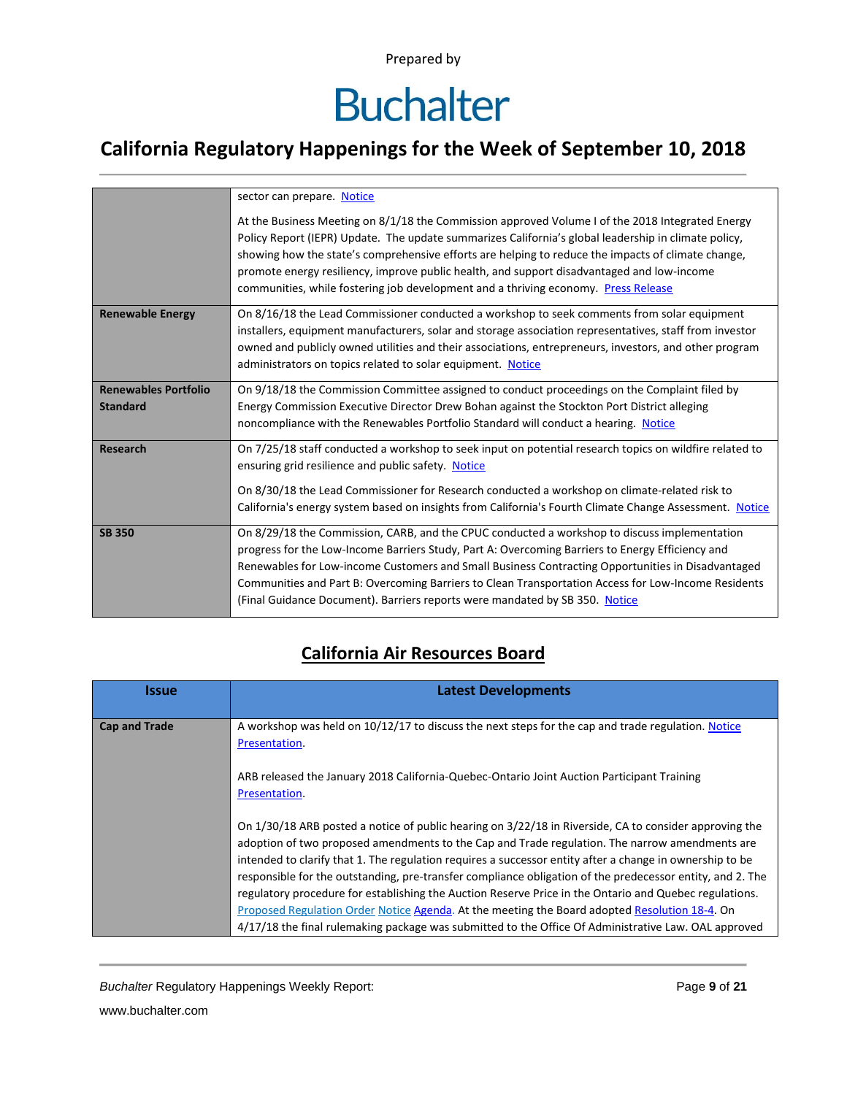# **Buchalter**

### **California Regulatory Happenings for the Week of September 10, 2018**

|                             | sector can prepare. Notice                                                                                                                                                                                                                                                                                                                                                                                                                                                                         |
|-----------------------------|----------------------------------------------------------------------------------------------------------------------------------------------------------------------------------------------------------------------------------------------------------------------------------------------------------------------------------------------------------------------------------------------------------------------------------------------------------------------------------------------------|
|                             | At the Business Meeting on 8/1/18 the Commission approved Volume I of the 2018 Integrated Energy<br>Policy Report (IEPR) Update. The update summarizes California's global leadership in climate policy,<br>showing how the state's comprehensive efforts are helping to reduce the impacts of climate change,<br>promote energy resiliency, improve public health, and support disadvantaged and low-income<br>communities, while fostering job development and a thriving economy. Press Release |
| <b>Renewable Energy</b>     | On 8/16/18 the Lead Commissioner conducted a workshop to seek comments from solar equipment<br>installers, equipment manufacturers, solar and storage association representatives, staff from investor<br>owned and publicly owned utilities and their associations, entrepreneurs, investors, and other program<br>administrators on topics related to solar equipment. Notice                                                                                                                    |
| <b>Renewables Portfolio</b> | On 9/18/18 the Commission Committee assigned to conduct proceedings on the Complaint filed by                                                                                                                                                                                                                                                                                                                                                                                                      |
| <b>Standard</b>             | Energy Commission Executive Director Drew Bohan against the Stockton Port District alleging                                                                                                                                                                                                                                                                                                                                                                                                        |
|                             | noncompliance with the Renewables Portfolio Standard will conduct a hearing. Notice                                                                                                                                                                                                                                                                                                                                                                                                                |
| <b>Research</b>             | On 7/25/18 staff conducted a workshop to seek input on potential research topics on wildfire related to<br>ensuring grid resilience and public safety. Notice                                                                                                                                                                                                                                                                                                                                      |
|                             | On 8/30/18 the Lead Commissioner for Research conducted a workshop on climate-related risk to                                                                                                                                                                                                                                                                                                                                                                                                      |
|                             | California's energy system based on insights from California's Fourth Climate Change Assessment. Notice                                                                                                                                                                                                                                                                                                                                                                                            |
| <b>SB 350</b>               | On 8/29/18 the Commission, CARB, and the CPUC conducted a workshop to discuss implementation<br>progress for the Low-Income Barriers Study, Part A: Overcoming Barriers to Energy Efficiency and<br>Renewables for Low-income Customers and Small Business Contracting Opportunities in Disadvantaged<br>Communities and Part B: Overcoming Barriers to Clean Transportation Access for Low-Income Residents<br>(Final Guidance Document). Barriers reports were mandated by SB 350. Notice        |

#### **California Air Resources Board**

| <b>Issue</b>         | <b>Latest Developments</b>                                                                                                                                                                                                                                                                                                                                                                                                                                                                                                                                                                                                                                                                                                                           |
|----------------------|------------------------------------------------------------------------------------------------------------------------------------------------------------------------------------------------------------------------------------------------------------------------------------------------------------------------------------------------------------------------------------------------------------------------------------------------------------------------------------------------------------------------------------------------------------------------------------------------------------------------------------------------------------------------------------------------------------------------------------------------------|
| <b>Cap and Trade</b> | A workshop was held on 10/12/17 to discuss the next steps for the cap and trade regulation. Notice<br>Presentation.                                                                                                                                                                                                                                                                                                                                                                                                                                                                                                                                                                                                                                  |
|                      | ARB released the January 2018 California-Quebec-Ontario Joint Auction Participant Training<br>Presentation.                                                                                                                                                                                                                                                                                                                                                                                                                                                                                                                                                                                                                                          |
|                      | On 1/30/18 ARB posted a notice of public hearing on 3/22/18 in Riverside, CA to consider approving the<br>adoption of two proposed amendments to the Cap and Trade regulation. The narrow amendments are<br>intended to clarify that 1. The regulation requires a successor entity after a change in ownership to be<br>responsible for the outstanding, pre-transfer compliance obligation of the predecessor entity, and 2. The<br>regulatory procedure for establishing the Auction Reserve Price in the Ontario and Quebec regulations.<br>Proposed Regulation Order Notice Agenda. At the meeting the Board adopted Resolution 18-4. On<br>4/17/18 the final rulemaking package was submitted to the Office Of Administrative Law. OAL approved |

**Buchalter Regulatory Happenings Weekly Report:** Page 9 of 21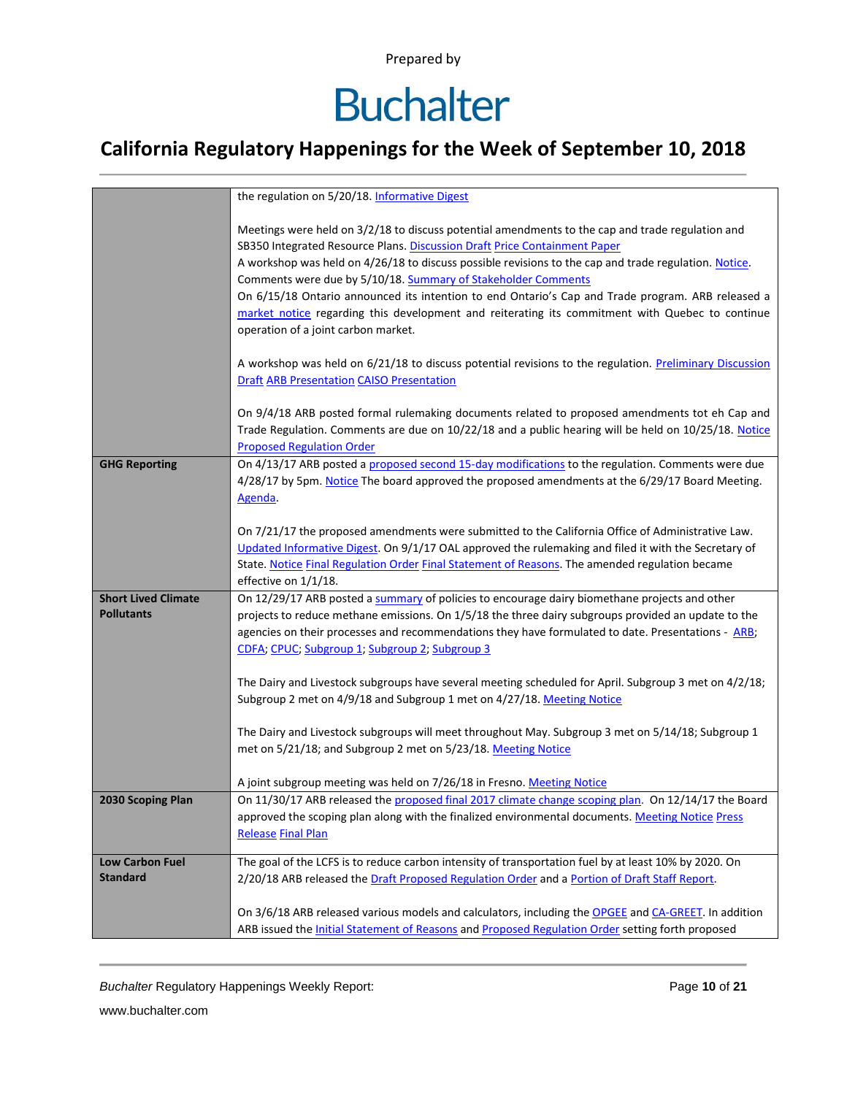# **Buchalter**

### **California Regulatory Happenings for the Week of September 10, 2018**

|                                                 | the regulation on 5/20/18. Informative Digest                                                                                                                                                                                                                                                                                                                                                                                                                                                                                                                                                          |
|-------------------------------------------------|--------------------------------------------------------------------------------------------------------------------------------------------------------------------------------------------------------------------------------------------------------------------------------------------------------------------------------------------------------------------------------------------------------------------------------------------------------------------------------------------------------------------------------------------------------------------------------------------------------|
|                                                 | Meetings were held on 3/2/18 to discuss potential amendments to the cap and trade regulation and<br>SB350 Integrated Resource Plans. Discussion Draft Price Containment Paper<br>A workshop was held on 4/26/18 to discuss possible revisions to the cap and trade regulation. Notice.<br>Comments were due by 5/10/18. Summary of Stakeholder Comments<br>On 6/15/18 Ontario announced its intention to end Ontario's Cap and Trade program. ARB released a<br>market notice regarding this development and reiterating its commitment with Quebec to continue<br>operation of a joint carbon market. |
|                                                 | A workshop was held on 6/21/18 to discuss potential revisions to the regulation. Preliminary Discussion<br><b>Draft ARB Presentation CAISO Presentation</b>                                                                                                                                                                                                                                                                                                                                                                                                                                            |
|                                                 | On 9/4/18 ARB posted formal rulemaking documents related to proposed amendments tot eh Cap and<br>Trade Regulation. Comments are due on 10/22/18 and a public hearing will be held on 10/25/18. Notice<br><b>Proposed Regulation Order</b>                                                                                                                                                                                                                                                                                                                                                             |
| <b>GHG Reporting</b>                            | On 4/13/17 ARB posted a proposed second 15-day modifications to the regulation. Comments were due<br>4/28/17 by 5pm. Notice The board approved the proposed amendments at the 6/29/17 Board Meeting.<br>Agenda.                                                                                                                                                                                                                                                                                                                                                                                        |
|                                                 | On 7/21/17 the proposed amendments were submitted to the California Office of Administrative Law.<br>Updated Informative Digest. On 9/1/17 OAL approved the rulemaking and filed it with the Secretary of<br>State. Notice Final Regulation Order Final Statement of Reasons. The amended regulation became<br>effective on 1/1/18.                                                                                                                                                                                                                                                                    |
| <b>Short Lived Climate</b><br><b>Pollutants</b> | On 12/29/17 ARB posted a summary of policies to encourage dairy biomethane projects and other<br>projects to reduce methane emissions. On 1/5/18 the three dairy subgroups provided an update to the<br>agencies on their processes and recommendations they have formulated to date. Presentations - ARB;<br>CDFA; CPUC; Subgroup 1; Subgroup 2; Subgroup 3                                                                                                                                                                                                                                           |
|                                                 | The Dairy and Livestock subgroups have several meeting scheduled for April. Subgroup 3 met on 4/2/18;<br>Subgroup 2 met on 4/9/18 and Subgroup 1 met on 4/27/18. Meeting Notice                                                                                                                                                                                                                                                                                                                                                                                                                        |
|                                                 | The Dairy and Livestock subgroups will meet throughout May. Subgroup 3 met on 5/14/18; Subgroup 1<br>met on 5/21/18; and Subgroup 2 met on 5/23/18. Meeting Notice                                                                                                                                                                                                                                                                                                                                                                                                                                     |
|                                                 | A joint subgroup meeting was held on 7/26/18 in Fresno. Meeting Notice                                                                                                                                                                                                                                                                                                                                                                                                                                                                                                                                 |
| 2030 Scoping Plan                               | On 11/30/17 ARB released the proposed final 2017 climate change scoping plan. On 12/14/17 the Board<br>approved the scoping plan along with the finalized environmental documents. Meeting Notice Press<br><b>Release Final Plan</b>                                                                                                                                                                                                                                                                                                                                                                   |
| <b>Low Carbon Fuel</b><br><b>Standard</b>       | The goal of the LCFS is to reduce carbon intensity of transportation fuel by at least 10% by 2020. On<br>2/20/18 ARB released the Draft Proposed Regulation Order and a Portion of Draft Staff Report.                                                                                                                                                                                                                                                                                                                                                                                                 |
|                                                 | On 3/6/18 ARB released various models and calculators, including the OPGEE and CA-GREET. In addition<br>ARB issued the Initial Statement of Reasons and Proposed Regulation Order setting forth proposed                                                                                                                                                                                                                                                                                                                                                                                               |

*Buchalter* Regulatory Happenings Weekly Report: Page **10** of **21**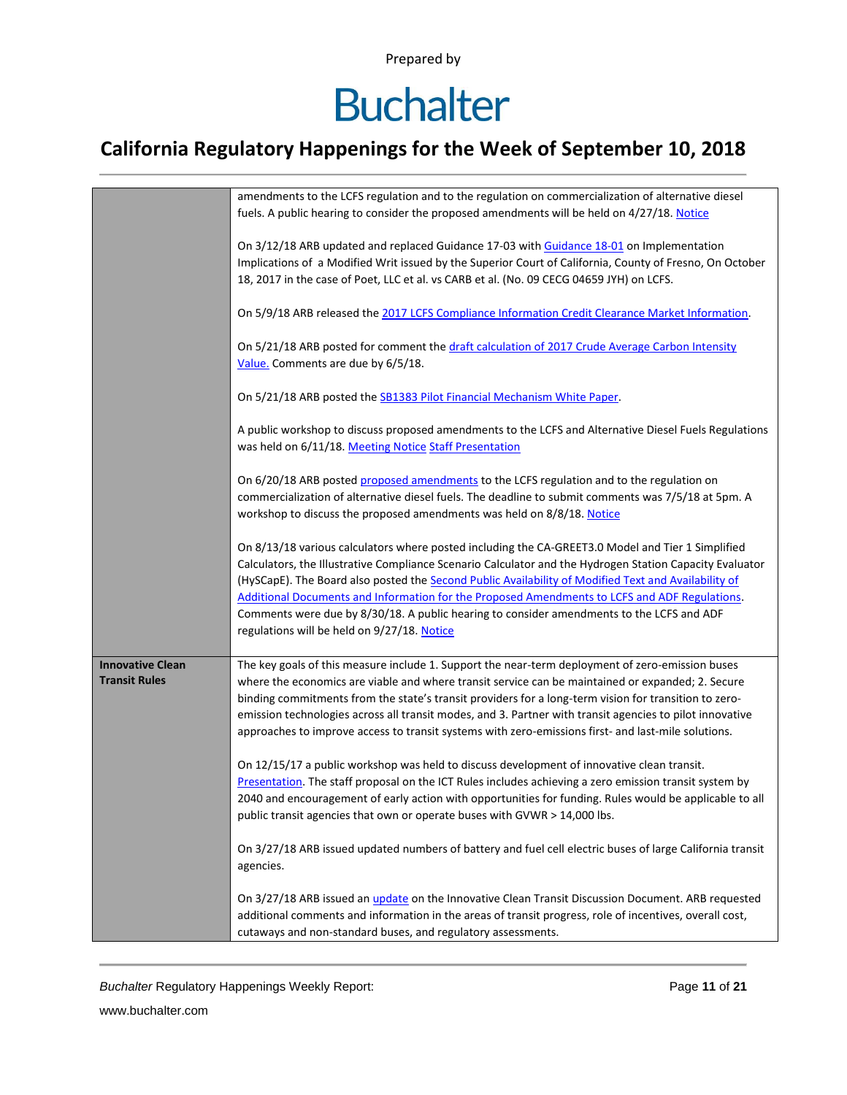## **Buchalter**

### **California Regulatory Happenings for the Week of September 10, 2018**

|                                                 | amendments to the LCFS regulation and to the regulation on commercialization of alternative diesel<br>fuels. A public hearing to consider the proposed amendments will be held on 4/27/18. Notice                                                                                                                                                                                                                                                                                                                                                                  |
|-------------------------------------------------|--------------------------------------------------------------------------------------------------------------------------------------------------------------------------------------------------------------------------------------------------------------------------------------------------------------------------------------------------------------------------------------------------------------------------------------------------------------------------------------------------------------------------------------------------------------------|
|                                                 | On 3/12/18 ARB updated and replaced Guidance 17-03 with Guidance 18-01 on Implementation<br>Implications of a Modified Writ issued by the Superior Court of California, County of Fresno, On October<br>18, 2017 in the case of Poet, LLC et al. vs CARB et al. (No. 09 CECG 04659 JYH) on LCFS.                                                                                                                                                                                                                                                                   |
|                                                 | On 5/9/18 ARB released the 2017 LCFS Compliance Information Credit Clearance Market Information.                                                                                                                                                                                                                                                                                                                                                                                                                                                                   |
|                                                 | On 5/21/18 ARB posted for comment the draft calculation of 2017 Crude Average Carbon Intensity<br>Value. Comments are due by 6/5/18.                                                                                                                                                                                                                                                                                                                                                                                                                               |
|                                                 | On 5/21/18 ARB posted the SB1383 Pilot Financial Mechanism White Paper.                                                                                                                                                                                                                                                                                                                                                                                                                                                                                            |
|                                                 | A public workshop to discuss proposed amendments to the LCFS and Alternative Diesel Fuels Regulations<br>was held on 6/11/18. Meeting Notice Staff Presentation                                                                                                                                                                                                                                                                                                                                                                                                    |
|                                                 | On 6/20/18 ARB posted proposed amendments to the LCFS regulation and to the regulation on<br>commercialization of alternative diesel fuels. The deadline to submit comments was 7/5/18 at 5pm. A<br>workshop to discuss the proposed amendments was held on 8/8/18. Notice                                                                                                                                                                                                                                                                                         |
|                                                 | On 8/13/18 various calculators where posted including the CA-GREET3.0 Model and Tier 1 Simplified<br>Calculators, the Illustrative Compliance Scenario Calculator and the Hydrogen Station Capacity Evaluator<br>(HySCapE). The Board also posted the Second Public Availability of Modified Text and Availability of<br>Additional Documents and Information for the Proposed Amendments to LCFS and ADF Regulations.<br>Comments were due by 8/30/18. A public hearing to consider amendments to the LCFS and ADF<br>regulations will be held on 9/27/18. Notice |
| <b>Innovative Clean</b><br><b>Transit Rules</b> | The key goals of this measure include 1. Support the near-term deployment of zero-emission buses<br>where the economics are viable and where transit service can be maintained or expanded; 2. Secure<br>binding commitments from the state's transit providers for a long-term vision for transition to zero-<br>emission technologies across all transit modes, and 3. Partner with transit agencies to pilot innovative<br>approaches to improve access to transit systems with zero-emissions first- and last-mile solutions.                                  |
|                                                 | On 12/15/17 a public workshop was held to discuss development of innovative clean transit.<br>Presentation. The staff proposal on the ICT Rules includes achieving a zero emission transit system by<br>2040 and encouragement of early action with opportunities for funding. Rules would be applicable to all<br>public transit agencies that own or operate buses with GVWR > 14,000 lbs.                                                                                                                                                                       |
|                                                 | On 3/27/18 ARB issued updated numbers of battery and fuel cell electric buses of large California transit<br>agencies.                                                                                                                                                                                                                                                                                                                                                                                                                                             |
|                                                 | On 3/27/18 ARB issued an update on the Innovative Clean Transit Discussion Document. ARB requested<br>additional comments and information in the areas of transit progress, role of incentives, overall cost,<br>cutaways and non-standard buses, and regulatory assessments.                                                                                                                                                                                                                                                                                      |

**Buchalter Regulatory Happenings Weekly Report:** Page 11 of 21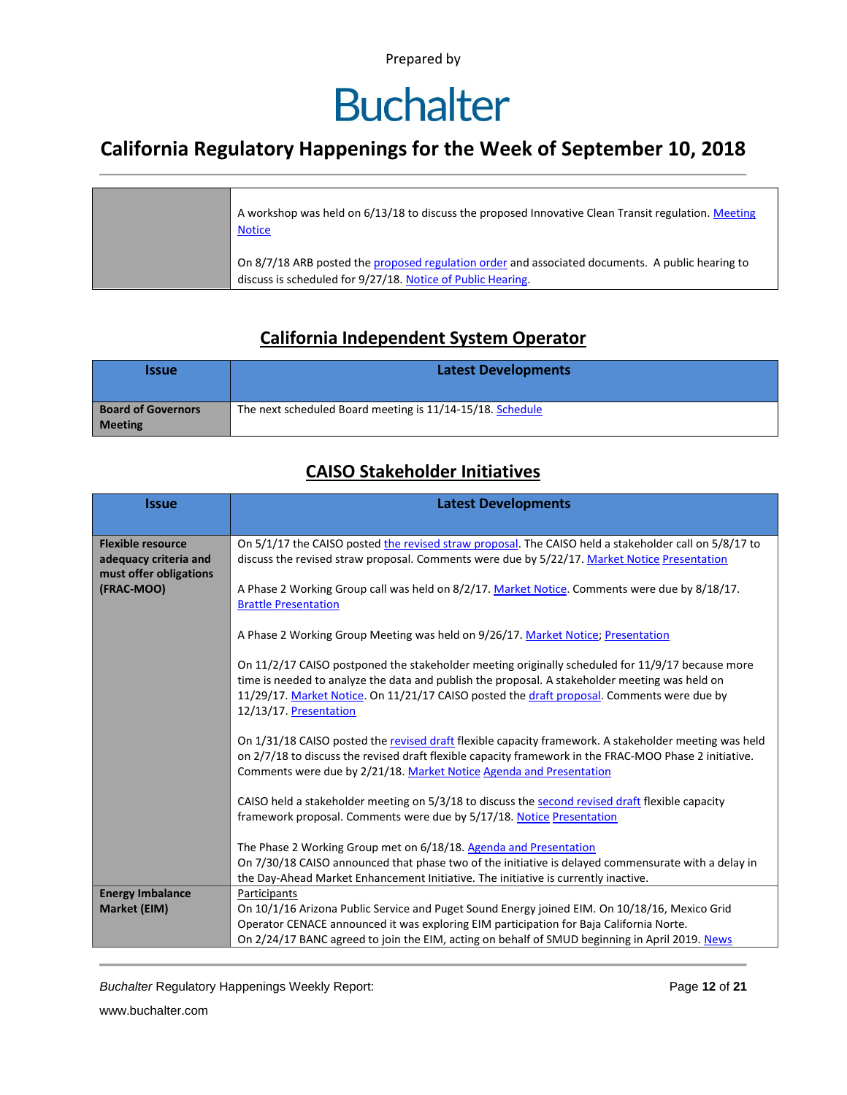### **Buchalter**

### **California Regulatory Happenings for the Week of September 10, 2018**

| A workshop was held on 6/13/18 to discuss the proposed Innovative Clean Transit regulation. Meeting<br><b>Notice</b>                                            |
|-----------------------------------------------------------------------------------------------------------------------------------------------------------------|
| On 8/7/18 ARB posted the proposed regulation order and associated documents. A public hearing to<br>discuss is scheduled for 9/27/18. Notice of Public Hearing. |

#### **California Independent System Operator**

| <i><u><b>Issue</b></u></i>                  | <b>Latest Developments</b>                                |
|---------------------------------------------|-----------------------------------------------------------|
| <b>Board of Governors</b><br><b>Meeting</b> | The next scheduled Board meeting is 11/14-15/18. Schedule |

#### **CAISO Stakeholder Initiatives**

| <b>Issue</b>             | <b>Latest Developments</b>                                                                                                   |  |  |  |  |
|--------------------------|------------------------------------------------------------------------------------------------------------------------------|--|--|--|--|
|                          |                                                                                                                              |  |  |  |  |
| <b>Flexible resource</b> | On 5/1/17 the CAISO posted the revised straw proposal. The CAISO held a stakeholder call on 5/8/17 to                        |  |  |  |  |
| adequacy criteria and    | discuss the revised straw proposal. Comments were due by 5/22/17. Market Notice Presentation                                 |  |  |  |  |
| must offer obligations   |                                                                                                                              |  |  |  |  |
| (FRAC-MOO)               | A Phase 2 Working Group call was held on 8/2/17. Market Notice. Comments were due by 8/18/17.<br><b>Brattle Presentation</b> |  |  |  |  |
|                          |                                                                                                                              |  |  |  |  |
|                          | A Phase 2 Working Group Meeting was held on 9/26/17. Market Notice; Presentation                                             |  |  |  |  |
|                          | On 11/2/17 CAISO postponed the stakeholder meeting originally scheduled for 11/9/17 because more                             |  |  |  |  |
|                          | time is needed to analyze the data and publish the proposal. A stakeholder meeting was held on                               |  |  |  |  |
|                          | 11/29/17. Market Notice. On 11/21/17 CAISO posted the draft proposal. Comments were due by                                   |  |  |  |  |
|                          | 12/13/17. Presentation                                                                                                       |  |  |  |  |
|                          | On 1/31/18 CAISO posted the revised draft flexible capacity framework. A stakeholder meeting was held                        |  |  |  |  |
|                          | on 2/7/18 to discuss the revised draft flexible capacity framework in the FRAC-MOO Phase 2 initiative.                       |  |  |  |  |
|                          | Comments were due by 2/21/18. Market Notice Agenda and Presentation                                                          |  |  |  |  |
|                          |                                                                                                                              |  |  |  |  |
|                          | CAISO held a stakeholder meeting on 5/3/18 to discuss the second revised draft flexible capacity                             |  |  |  |  |
|                          | framework proposal. Comments were due by 5/17/18. Notice Presentation                                                        |  |  |  |  |
|                          | The Phase 2 Working Group met on 6/18/18. Agenda and Presentation                                                            |  |  |  |  |
|                          | On 7/30/18 CAISO announced that phase two of the initiative is delayed commensurate with a delay in                          |  |  |  |  |
|                          | the Day-Ahead Market Enhancement Initiative. The initiative is currently inactive.                                           |  |  |  |  |
| <b>Energy Imbalance</b>  | Participants                                                                                                                 |  |  |  |  |
| Market (EIM)             | On 10/1/16 Arizona Public Service and Puget Sound Energy joined EIM. On 10/18/16, Mexico Grid                                |  |  |  |  |
|                          | Operator CENACE announced it was exploring EIM participation for Baja California Norte.                                      |  |  |  |  |
|                          | On 2/24/17 BANC agreed to join the EIM, acting on behalf of SMUD beginning in April 2019. News                               |  |  |  |  |

**Buchalter Regulatory Happenings Weekly Report:** Page 12 of 21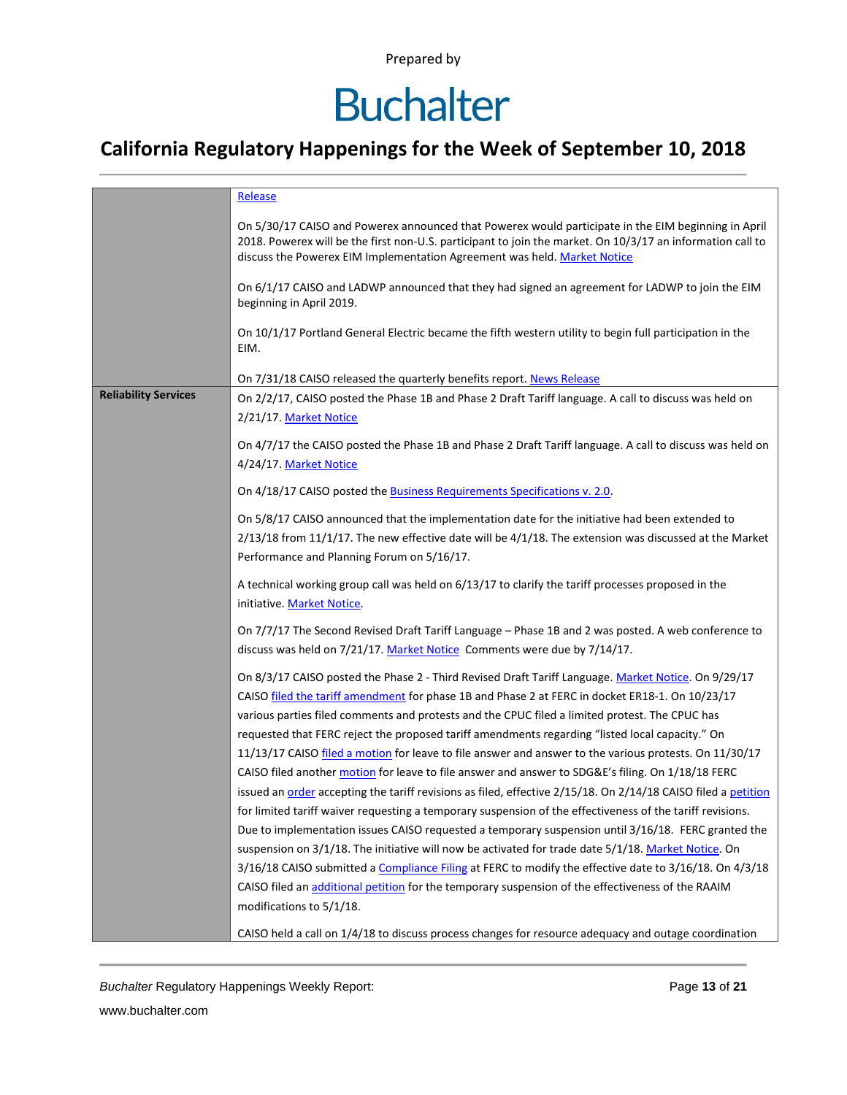## **Buchalter**

### **California Regulatory Happenings for the Week of September 10, 2018**

|                                                                                                                                                                                 | Release                                                                                                                                                                                                                                                                                       |  |  |  |  |  |
|---------------------------------------------------------------------------------------------------------------------------------------------------------------------------------|-----------------------------------------------------------------------------------------------------------------------------------------------------------------------------------------------------------------------------------------------------------------------------------------------|--|--|--|--|--|
|                                                                                                                                                                                 | On 5/30/17 CAISO and Powerex announced that Powerex would participate in the EIM beginning in April<br>2018. Powerex will be the first non-U.S. participant to join the market. On 10/3/17 an information call to<br>discuss the Powerex EIM Implementation Agreement was held. Market Notice |  |  |  |  |  |
|                                                                                                                                                                                 | On 6/1/17 CAISO and LADWP announced that they had signed an agreement for LADWP to join the EIM<br>beginning in April 2019.                                                                                                                                                                   |  |  |  |  |  |
|                                                                                                                                                                                 | On 10/1/17 Portland General Electric became the fifth western utility to begin full participation in the<br>EIM.                                                                                                                                                                              |  |  |  |  |  |
|                                                                                                                                                                                 | On 7/31/18 CAISO released the quarterly benefits report. News Release                                                                                                                                                                                                                         |  |  |  |  |  |
| <b>Reliability Services</b>                                                                                                                                                     | On 2/2/17, CAISO posted the Phase 1B and Phase 2 Draft Tariff language. A call to discuss was held on                                                                                                                                                                                         |  |  |  |  |  |
|                                                                                                                                                                                 | 2/21/17. Market Notice                                                                                                                                                                                                                                                                        |  |  |  |  |  |
|                                                                                                                                                                                 |                                                                                                                                                                                                                                                                                               |  |  |  |  |  |
|                                                                                                                                                                                 | On 4/7/17 the CAISO posted the Phase 1B and Phase 2 Draft Tariff language. A call to discuss was held on<br>4/24/17. Market Notice                                                                                                                                                            |  |  |  |  |  |
|                                                                                                                                                                                 | On 4/18/17 CAISO posted the <b>Business Requirements Specifications v. 2.0.</b>                                                                                                                                                                                                               |  |  |  |  |  |
|                                                                                                                                                                                 | On 5/8/17 CAISO announced that the implementation date for the initiative had been extended to                                                                                                                                                                                                |  |  |  |  |  |
|                                                                                                                                                                                 | $2/13/18$ from 11/1/17. The new effective date will be $4/1/18$ . The extension was discussed at the Market                                                                                                                                                                                   |  |  |  |  |  |
|                                                                                                                                                                                 | Performance and Planning Forum on 5/16/17.                                                                                                                                                                                                                                                    |  |  |  |  |  |
|                                                                                                                                                                                 | A technical working group call was held on 6/13/17 to clarify the tariff processes proposed in the<br>initiative. Market Notice.                                                                                                                                                              |  |  |  |  |  |
| On 7/7/17 The Second Revised Draft Tariff Language - Phase 1B and 2 was posted. A web conference to<br>discuss was held on 7/21/17. Market Notice Comments were due by 7/14/17. |                                                                                                                                                                                                                                                                                               |  |  |  |  |  |
|                                                                                                                                                                                 | On 8/3/17 CAISO posted the Phase 2 - Third Revised Draft Tariff Language. Market Notice. On 9/29/17                                                                                                                                                                                           |  |  |  |  |  |
|                                                                                                                                                                                 | CAISO filed the tariff amendment for phase 1B and Phase 2 at FERC in docket ER18-1. On 10/23/17                                                                                                                                                                                               |  |  |  |  |  |
|                                                                                                                                                                                 | various parties filed comments and protests and the CPUC filed a limited protest. The CPUC has                                                                                                                                                                                                |  |  |  |  |  |
|                                                                                                                                                                                 | requested that FERC reject the proposed tariff amendments regarding "listed local capacity." On                                                                                                                                                                                               |  |  |  |  |  |
|                                                                                                                                                                                 | 11/13/17 CAISO filed a motion for leave to file answer and answer to the various protests. On 11/30/17                                                                                                                                                                                        |  |  |  |  |  |
|                                                                                                                                                                                 | CAISO filed another motion for leave to file answer and answer to SDG&E's filing. On 1/18/18 FERC                                                                                                                                                                                             |  |  |  |  |  |
|                                                                                                                                                                                 | issued an order accepting the tariff revisions as filed, effective 2/15/18. On 2/14/18 CAISO filed a petition                                                                                                                                                                                 |  |  |  |  |  |
|                                                                                                                                                                                 | for limited tariff waiver requesting a temporary suspension of the effectiveness of the tariff revisions.                                                                                                                                                                                     |  |  |  |  |  |
|                                                                                                                                                                                 | Due to implementation issues CAISO requested a temporary suspension until 3/16/18. FERC granted the                                                                                                                                                                                           |  |  |  |  |  |
|                                                                                                                                                                                 | suspension on 3/1/18. The initiative will now be activated for trade date 5/1/18. Market Notice. On                                                                                                                                                                                           |  |  |  |  |  |
|                                                                                                                                                                                 | 3/16/18 CAISO submitted a Compliance Filing at FERC to modify the effective date to 3/16/18. On 4/3/18                                                                                                                                                                                        |  |  |  |  |  |
|                                                                                                                                                                                 | CAISO filed an additional petition for the temporary suspension of the effectiveness of the RAAIM                                                                                                                                                                                             |  |  |  |  |  |
|                                                                                                                                                                                 | modifications to 5/1/18.                                                                                                                                                                                                                                                                      |  |  |  |  |  |
|                                                                                                                                                                                 | CAISO held a call on 1/4/18 to discuss process changes for resource adequacy and outage coordination                                                                                                                                                                                          |  |  |  |  |  |

**Buchalter Regulatory Happenings Weekly Report:** Page 13 of 21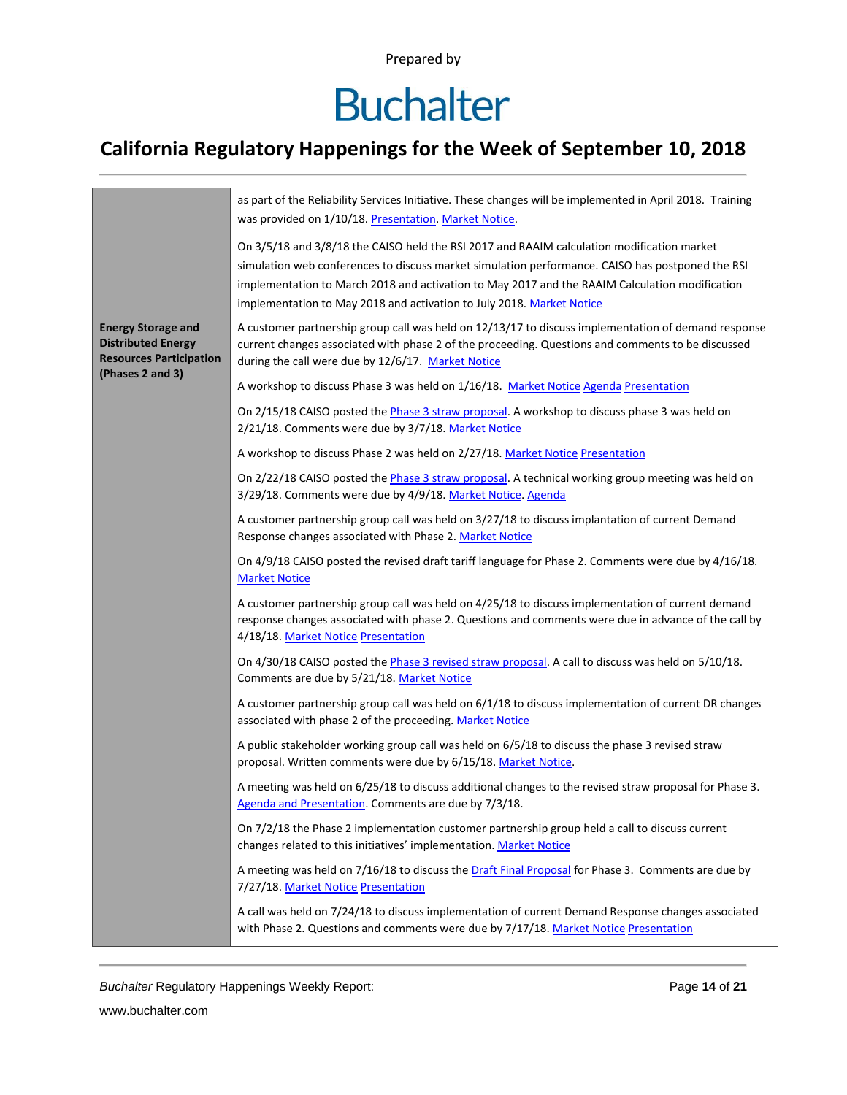## **Buchalter**

### **California Regulatory Happenings for the Week of September 10, 2018**

| as part of the Reliability Services Initiative. These changes will be implemented in April 2018. Training<br>was provided on 1/10/18. Presentation. Market Notice. |                                                                                                                                                                                                                                                                                                  |  |  |  |  |
|--------------------------------------------------------------------------------------------------------------------------------------------------------------------|--------------------------------------------------------------------------------------------------------------------------------------------------------------------------------------------------------------------------------------------------------------------------------------------------|--|--|--|--|
|                                                                                                                                                                    |                                                                                                                                                                                                                                                                                                  |  |  |  |  |
| implementation to May 2018 and activation to July 2018. Market Notice                                                                                              | On 3/5/18 and 3/8/18 the CAISO held the RSI 2017 and RAAIM calculation modification market<br>simulation web conferences to discuss market simulation performance. CAISO has postponed the RSI<br>implementation to March 2018 and activation to May 2017 and the RAAIM Calculation modification |  |  |  |  |
| <b>Energy Storage and</b><br><b>Distributed Energy</b><br><b>Resources Participation</b><br>during the call were due by 12/6/17. Market Notice                     | A customer partnership group call was held on 12/13/17 to discuss implementation of demand response<br>current changes associated with phase 2 of the proceeding. Questions and comments to be discussed                                                                                         |  |  |  |  |
| (Phases 2 and 3)<br>A workshop to discuss Phase 3 was held on 1/16/18. Market Notice Agenda Presentation                                                           |                                                                                                                                                                                                                                                                                                  |  |  |  |  |
| 2/21/18. Comments were due by 3/7/18. Market Notice                                                                                                                | On 2/15/18 CAISO posted the Phase 3 straw proposal. A workshop to discuss phase 3 was held on                                                                                                                                                                                                    |  |  |  |  |
| A workshop to discuss Phase 2 was held on 2/27/18. Market Notice Presentation                                                                                      |                                                                                                                                                                                                                                                                                                  |  |  |  |  |
| 3/29/18. Comments were due by 4/9/18. Market Notice. Agenda                                                                                                        | On 2/22/18 CAISO posted the Phase 3 straw proposal. A technical working group meeting was held on                                                                                                                                                                                                |  |  |  |  |
| Response changes associated with Phase 2. Market Notice                                                                                                            | A customer partnership group call was held on 3/27/18 to discuss implantation of current Demand                                                                                                                                                                                                  |  |  |  |  |
| <b>Market Notice</b>                                                                                                                                               | On 4/9/18 CAISO posted the revised draft tariff language for Phase 2. Comments were due by 4/16/18.                                                                                                                                                                                              |  |  |  |  |
| 4/18/18. Market Notice Presentation                                                                                                                                | A customer partnership group call was held on 4/25/18 to discuss implementation of current demand<br>response changes associated with phase 2. Questions and comments were due in advance of the call by                                                                                         |  |  |  |  |
| On 4/30/18 CAISO posted the Phase 3 revised straw proposal. A call to discuss was held on 5/10/18.<br>Comments are due by 5/21/18. Market Notice                   |                                                                                                                                                                                                                                                                                                  |  |  |  |  |
| associated with phase 2 of the proceeding. Market Notice                                                                                                           | A customer partnership group call was held on 6/1/18 to discuss implementation of current DR changes                                                                                                                                                                                             |  |  |  |  |
| proposal. Written comments were due by 6/15/18. Market Notice.                                                                                                     | A public stakeholder working group call was held on 6/5/18 to discuss the phase 3 revised straw                                                                                                                                                                                                  |  |  |  |  |
| Agenda and Presentation. Comments are due by 7/3/18.                                                                                                               | A meeting was held on 6/25/18 to discuss additional changes to the revised straw proposal for Phase 3.                                                                                                                                                                                           |  |  |  |  |
| changes related to this initiatives' implementation. Market Notice                                                                                                 | On 7/2/18 the Phase 2 implementation customer partnership group held a call to discuss current                                                                                                                                                                                                   |  |  |  |  |
| 7/27/18. Market Notice Presentation                                                                                                                                | A meeting was held on 7/16/18 to discuss the Draft Final Proposal for Phase 3. Comments are due by                                                                                                                                                                                               |  |  |  |  |
| with Phase 2. Questions and comments were due by 7/17/18. Market Notice Presentation                                                                               | A call was held on 7/24/18 to discuss implementation of current Demand Response changes associated                                                                                                                                                                                               |  |  |  |  |

*Buchalter* Regulatory Happenings Weekly Report: Page **14** of **21**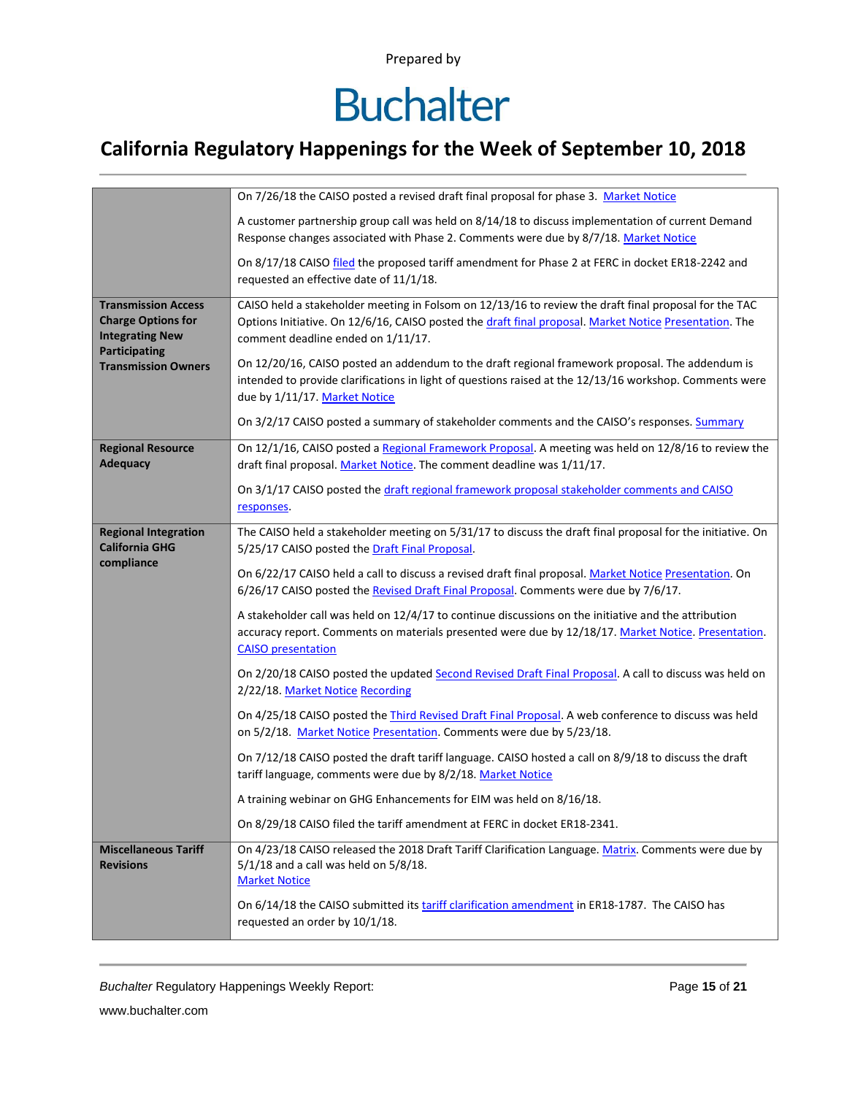## **Buchalter**

### **California Regulatory Happenings for the Week of September 10, 2018**

|                                                                                                    | On 7/26/18 the CAISO posted a revised draft final proposal for phase 3. Market Notice                                                                                                                                                                 |  |  |  |  |
|----------------------------------------------------------------------------------------------------|-------------------------------------------------------------------------------------------------------------------------------------------------------------------------------------------------------------------------------------------------------|--|--|--|--|
|                                                                                                    | A customer partnership group call was held on 8/14/18 to discuss implementation of current Demand<br>Response changes associated with Phase 2. Comments were due by 8/7/18. Market Notice                                                             |  |  |  |  |
|                                                                                                    | On 8/17/18 CAISO filed the proposed tariff amendment for Phase 2 at FERC in docket ER18-2242 and<br>requested an effective date of 11/1/18.                                                                                                           |  |  |  |  |
| <b>Transmission Access</b><br><b>Charge Options for</b><br><b>Integrating New</b><br>Participating | CAISO held a stakeholder meeting in Folsom on 12/13/16 to review the draft final proposal for the TAC<br>Options Initiative. On 12/6/16, CAISO posted the draft final proposal. Market Notice Presentation. The<br>comment deadline ended on 1/11/17. |  |  |  |  |
| <b>Transmission Owners</b>                                                                         | On 12/20/16, CAISO posted an addendum to the draft regional framework proposal. The addendum is<br>intended to provide clarifications in light of questions raised at the 12/13/16 workshop. Comments were<br>due by 1/11/17. Market Notice           |  |  |  |  |
|                                                                                                    | On 3/2/17 CAISO posted a summary of stakeholder comments and the CAISO's responses. Summary                                                                                                                                                           |  |  |  |  |
| <b>Regional Resource</b><br><b>Adequacy</b>                                                        | On 12/1/16, CAISO posted a Regional Framework Proposal. A meeting was held on 12/8/16 to review the<br>draft final proposal. Market Notice. The comment deadline was 1/11/17.                                                                         |  |  |  |  |
|                                                                                                    | On 3/1/17 CAISO posted the draft regional framework proposal stakeholder comments and CAISO<br>responses.                                                                                                                                             |  |  |  |  |
| <b>Regional Integration</b><br><b>California GHG</b><br>compliance                                 | The CAISO held a stakeholder meeting on 5/31/17 to discuss the draft final proposal for the initiative. On<br>5/25/17 CAISO posted the Draft Final Proposal.                                                                                          |  |  |  |  |
|                                                                                                    | On 6/22/17 CAISO held a call to discuss a revised draft final proposal. Market Notice Presentation. On<br>6/26/17 CAISO posted the Revised Draft Final Proposal. Comments were due by 7/6/17.                                                         |  |  |  |  |
|                                                                                                    | A stakeholder call was held on 12/4/17 to continue discussions on the initiative and the attribution<br>accuracy report. Comments on materials presented were due by 12/18/17. Market Notice. Presentation.<br><b>CAISO</b> presentation              |  |  |  |  |
|                                                                                                    | On 2/20/18 CAISO posted the updated Second Revised Draft Final Proposal. A call to discuss was held on<br>2/22/18. Market Notice Recording                                                                                                            |  |  |  |  |
|                                                                                                    | On 4/25/18 CAISO posted the <i>Third Revised Draft Final Proposal</i> . A web conference to discuss was held<br>on 5/2/18. Market Notice Presentation. Comments were due by 5/23/18.                                                                  |  |  |  |  |
|                                                                                                    | On 7/12/18 CAISO posted the draft tariff language. CAISO hosted a call on 8/9/18 to discuss the draft<br>tariff language, comments were due by 8/2/18. Market Notice                                                                                  |  |  |  |  |
|                                                                                                    | A training webinar on GHG Enhancements for EIM was held on 8/16/18.                                                                                                                                                                                   |  |  |  |  |
|                                                                                                    | On 8/29/18 CAISO filed the tariff amendment at FERC in docket ER18-2341.                                                                                                                                                                              |  |  |  |  |
| <b>Miscellaneous Tariff</b><br><b>Revisions</b>                                                    | On 4/23/18 CAISO released the 2018 Draft Tariff Clarification Language. Matrix. Comments were due by<br>$5/1/18$ and a call was held on $5/8/18$ .<br><b>Market Notice</b>                                                                            |  |  |  |  |
|                                                                                                    | On 6/14/18 the CAISO submitted its tariff clarification amendment in ER18-1787. The CAISO has<br>requested an order by 10/1/18.                                                                                                                       |  |  |  |  |

**Buchalter Regulatory Happenings Weekly Report:** Page 15 of 21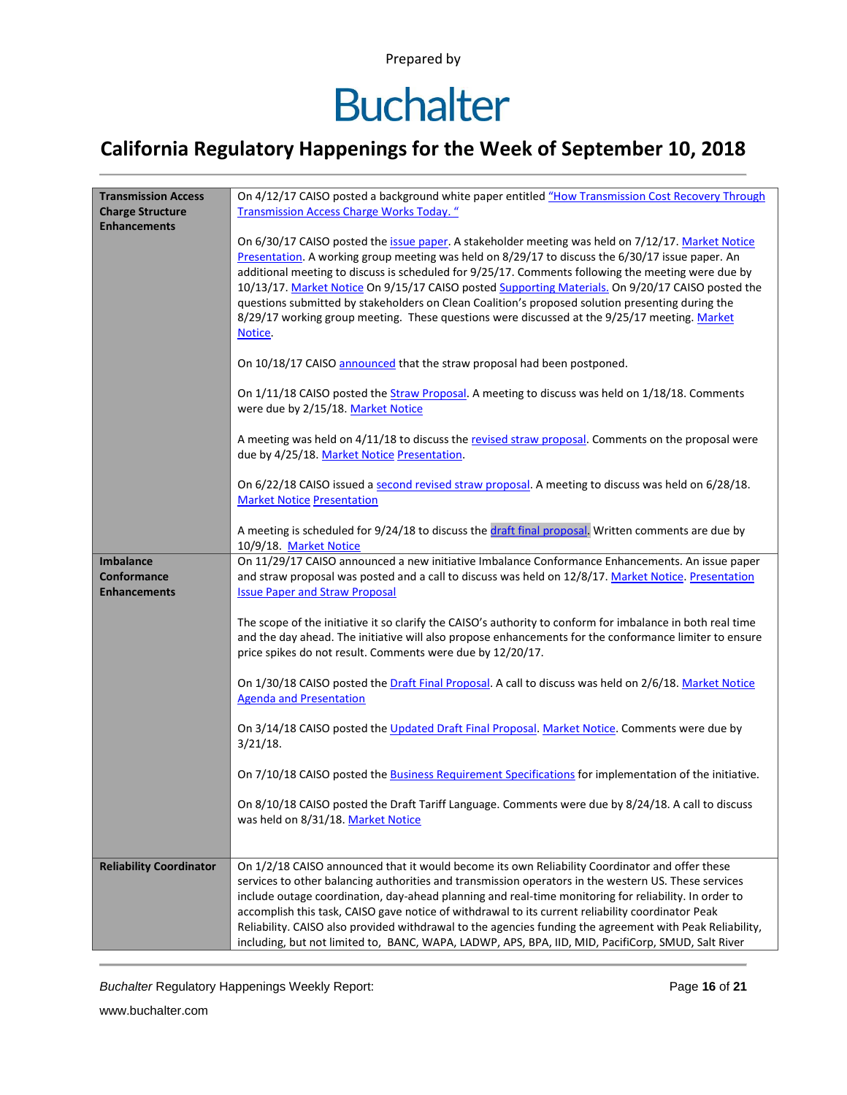### **Buchalter**

### **California Regulatory Happenings for the Week of September 10, 2018**

| <b>Transmission Access</b>     | On 4/12/17 CAISO posted a background white paper entitled "How Transmission Cost Recovery Through                                                                                                       |  |  |  |  |  |
|--------------------------------|---------------------------------------------------------------------------------------------------------------------------------------------------------------------------------------------------------|--|--|--|--|--|
| <b>Charge Structure</b>        | <b>Transmission Access Charge Works Today.</b> "                                                                                                                                                        |  |  |  |  |  |
| <b>Enhancements</b>            |                                                                                                                                                                                                         |  |  |  |  |  |
|                                | On 6/30/17 CAISO posted the issue paper. A stakeholder meeting was held on 7/12/17. Market Notice                                                                                                       |  |  |  |  |  |
|                                | Presentation. A working group meeting was held on 8/29/17 to discuss the 6/30/17 issue paper. An                                                                                                        |  |  |  |  |  |
|                                | additional meeting to discuss is scheduled for 9/25/17. Comments following the meeting were due by<br>10/13/17. Market Notice On 9/15/17 CAISO posted Supporting Materials. On 9/20/17 CAISO posted the |  |  |  |  |  |
|                                | questions submitted by stakeholders on Clean Coalition's proposed solution presenting during the                                                                                                        |  |  |  |  |  |
|                                | 8/29/17 working group meeting. These questions were discussed at the 9/25/17 meeting. Market                                                                                                            |  |  |  |  |  |
|                                | Notice.                                                                                                                                                                                                 |  |  |  |  |  |
|                                |                                                                                                                                                                                                         |  |  |  |  |  |
|                                | On 10/18/17 CAISO announced that the straw proposal had been postponed.                                                                                                                                 |  |  |  |  |  |
|                                | On 1/11/18 CAISO posted the Straw Proposal. A meeting to discuss was held on 1/18/18. Comments                                                                                                          |  |  |  |  |  |
|                                | were due by 2/15/18. Market Notice                                                                                                                                                                      |  |  |  |  |  |
|                                | A meeting was held on 4/11/18 to discuss the revised straw proposal. Comments on the proposal were                                                                                                      |  |  |  |  |  |
|                                | due by 4/25/18. Market Notice Presentation.                                                                                                                                                             |  |  |  |  |  |
|                                | On 6/22/18 CAISO issued a second revised straw proposal. A meeting to discuss was held on 6/28/18.                                                                                                      |  |  |  |  |  |
|                                | <b>Market Notice Presentation</b>                                                                                                                                                                       |  |  |  |  |  |
|                                |                                                                                                                                                                                                         |  |  |  |  |  |
|                                | A meeting is scheduled for 9/24/18 to discuss the draft final proposal. Written comments are due by                                                                                                     |  |  |  |  |  |
| <b>Imbalance</b>               | 10/9/18. Market Notice<br>On 11/29/17 CAISO announced a new initiative Imbalance Conformance Enhancements. An issue paper                                                                               |  |  |  |  |  |
| Conformance                    | and straw proposal was posted and a call to discuss was held on 12/8/17. Market Notice. Presentation                                                                                                    |  |  |  |  |  |
| <b>Enhancements</b>            | <b>Issue Paper and Straw Proposal</b>                                                                                                                                                                   |  |  |  |  |  |
|                                |                                                                                                                                                                                                         |  |  |  |  |  |
|                                | The scope of the initiative it so clarify the CAISO's authority to conform for imbalance in both real time                                                                                              |  |  |  |  |  |
|                                | and the day ahead. The initiative will also propose enhancements for the conformance limiter to ensure                                                                                                  |  |  |  |  |  |
|                                | price spikes do not result. Comments were due by 12/20/17.                                                                                                                                              |  |  |  |  |  |
|                                | On 1/30/18 CAISO posted the Draft Final Proposal. A call to discuss was held on 2/6/18. Market Notice                                                                                                   |  |  |  |  |  |
|                                | <b>Agenda and Presentation</b>                                                                                                                                                                          |  |  |  |  |  |
|                                |                                                                                                                                                                                                         |  |  |  |  |  |
|                                | On 3/14/18 CAISO posted the Updated Draft Final Proposal. Market Notice. Comments were due by<br>$3/21/18$ .                                                                                            |  |  |  |  |  |
|                                |                                                                                                                                                                                                         |  |  |  |  |  |
|                                | On 7/10/18 CAISO posted the Business Requirement Specifications for implementation of the initiative.                                                                                                   |  |  |  |  |  |
|                                | On 8/10/18 CAISO posted the Draft Tariff Language. Comments were due by 8/24/18. A call to discuss                                                                                                      |  |  |  |  |  |
|                                | was held on 8/31/18. Market Notice                                                                                                                                                                      |  |  |  |  |  |
|                                |                                                                                                                                                                                                         |  |  |  |  |  |
|                                |                                                                                                                                                                                                         |  |  |  |  |  |
| <b>Reliability Coordinator</b> | On 1/2/18 CAISO announced that it would become its own Reliability Coordinator and offer these<br>services to other balancing authorities and transmission operators in the western US. These services  |  |  |  |  |  |
|                                | include outage coordination, day-ahead planning and real-time monitoring for reliability. In order to                                                                                                   |  |  |  |  |  |
|                                | accomplish this task, CAISO gave notice of withdrawal to its current reliability coordinator Peak                                                                                                       |  |  |  |  |  |
|                                | Reliability. CAISO also provided withdrawal to the agencies funding the agreement with Peak Reliability,                                                                                                |  |  |  |  |  |
|                                | including, but not limited to, BANC, WAPA, LADWP, APS, BPA, IID, MID, PacifiCorp, SMUD, Salt River                                                                                                      |  |  |  |  |  |

*Buchalter* Regulatory Happenings Weekly Report: Page **16** of **21**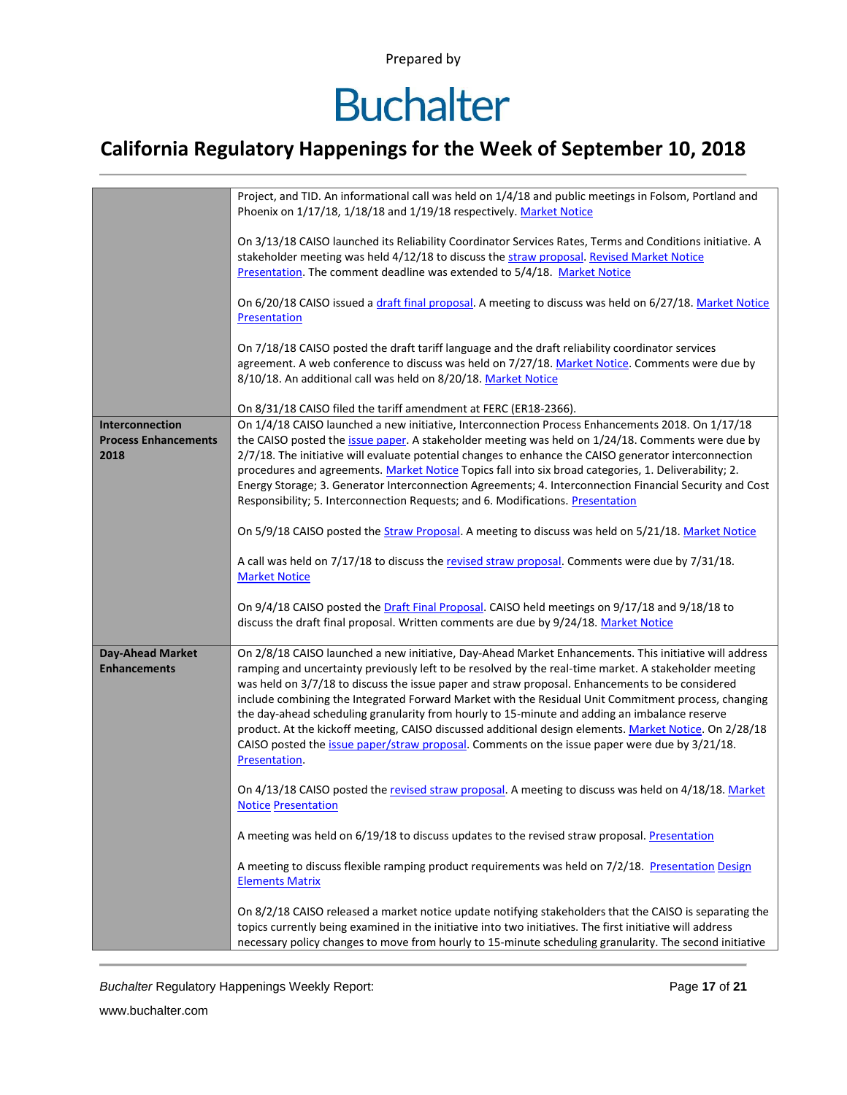## **Buchalter**

### **California Regulatory Happenings for the Week of September 10, 2018**

|                                                        | Project, and TID. An informational call was held on 1/4/18 and public meetings in Folsom, Portland and<br>Phoenix on 1/17/18, 1/18/18 and 1/19/18 respectively. Market Notice                                                                                                                                                                                                                                                                                                                                                                                                                                                                                                                                                                          |
|--------------------------------------------------------|--------------------------------------------------------------------------------------------------------------------------------------------------------------------------------------------------------------------------------------------------------------------------------------------------------------------------------------------------------------------------------------------------------------------------------------------------------------------------------------------------------------------------------------------------------------------------------------------------------------------------------------------------------------------------------------------------------------------------------------------------------|
|                                                        | On 3/13/18 CAISO launched its Reliability Coordinator Services Rates, Terms and Conditions initiative. A<br>stakeholder meeting was held 4/12/18 to discuss the straw proposal. Revised Market Notice<br>Presentation. The comment deadline was extended to 5/4/18. Market Notice                                                                                                                                                                                                                                                                                                                                                                                                                                                                      |
|                                                        | On 6/20/18 CAISO issued a draft final proposal. A meeting to discuss was held on 6/27/18. Market Notice<br>Presentation                                                                                                                                                                                                                                                                                                                                                                                                                                                                                                                                                                                                                                |
|                                                        | On 7/18/18 CAISO posted the draft tariff language and the draft reliability coordinator services<br>agreement. A web conference to discuss was held on 7/27/18. Market Notice. Comments were due by<br>8/10/18. An additional call was held on 8/20/18. Market Notice                                                                                                                                                                                                                                                                                                                                                                                                                                                                                  |
|                                                        | On 8/31/18 CAISO filed the tariff amendment at FERC (ER18-2366).                                                                                                                                                                                                                                                                                                                                                                                                                                                                                                                                                                                                                                                                                       |
| Interconnection<br><b>Process Enhancements</b><br>2018 | On 1/4/18 CAISO launched a new initiative, Interconnection Process Enhancements 2018. On 1/17/18<br>the CAISO posted the issue paper. A stakeholder meeting was held on 1/24/18. Comments were due by<br>2/7/18. The initiative will evaluate potential changes to enhance the CAISO generator interconnection<br>procedures and agreements. Market Notice Topics fall into six broad categories, 1. Deliverability; 2.<br>Energy Storage; 3. Generator Interconnection Agreements; 4. Interconnection Financial Security and Cost<br>Responsibility; 5. Interconnection Requests; and 6. Modifications. Presentation                                                                                                                                  |
|                                                        | On 5/9/18 CAISO posted the Straw Proposal. A meeting to discuss was held on 5/21/18. Market Notice                                                                                                                                                                                                                                                                                                                                                                                                                                                                                                                                                                                                                                                     |
|                                                        | A call was held on 7/17/18 to discuss the revised straw proposal. Comments were due by 7/31/18.<br><b>Market Notice</b>                                                                                                                                                                                                                                                                                                                                                                                                                                                                                                                                                                                                                                |
|                                                        | On 9/4/18 CAISO posted the Draft Final Proposal. CAISO held meetings on 9/17/18 and 9/18/18 to<br>discuss the draft final proposal. Written comments are due by 9/24/18. Market Notice                                                                                                                                                                                                                                                                                                                                                                                                                                                                                                                                                                 |
| <b>Day-Ahead Market</b><br><b>Enhancements</b>         | On 2/8/18 CAISO launched a new initiative, Day-Ahead Market Enhancements. This initiative will address<br>ramping and uncertainty previously left to be resolved by the real-time market. A stakeholder meeting<br>was held on 3/7/18 to discuss the issue paper and straw proposal. Enhancements to be considered<br>include combining the Integrated Forward Market with the Residual Unit Commitment process, changing<br>the day-ahead scheduling granularity from hourly to 15-minute and adding an imbalance reserve<br>product. At the kickoff meeting, CAISO discussed additional design elements. Market Notice. On 2/28/18<br>CAISO posted the issue paper/straw proposal. Comments on the issue paper were due by 3/21/18.<br>Presentation. |
|                                                        | On 4/13/18 CAISO posted the revised straw proposal. A meeting to discuss was held on 4/18/18. Market<br><b>Notice Presentation</b>                                                                                                                                                                                                                                                                                                                                                                                                                                                                                                                                                                                                                     |
|                                                        | A meeting was held on 6/19/18 to discuss updates to the revised straw proposal. Presentation                                                                                                                                                                                                                                                                                                                                                                                                                                                                                                                                                                                                                                                           |
|                                                        | A meeting to discuss flexible ramping product requirements was held on 7/2/18. Presentation Design<br><b>Elements Matrix</b>                                                                                                                                                                                                                                                                                                                                                                                                                                                                                                                                                                                                                           |
|                                                        | On 8/2/18 CAISO released a market notice update notifying stakeholders that the CAISO is separating the<br>topics currently being examined in the initiative into two initiatives. The first initiative will address<br>necessary policy changes to move from hourly to 15-minute scheduling granularity. The second initiative                                                                                                                                                                                                                                                                                                                                                                                                                        |

**Buchalter Regulatory Happenings Weekly Report:** Page 17 of 21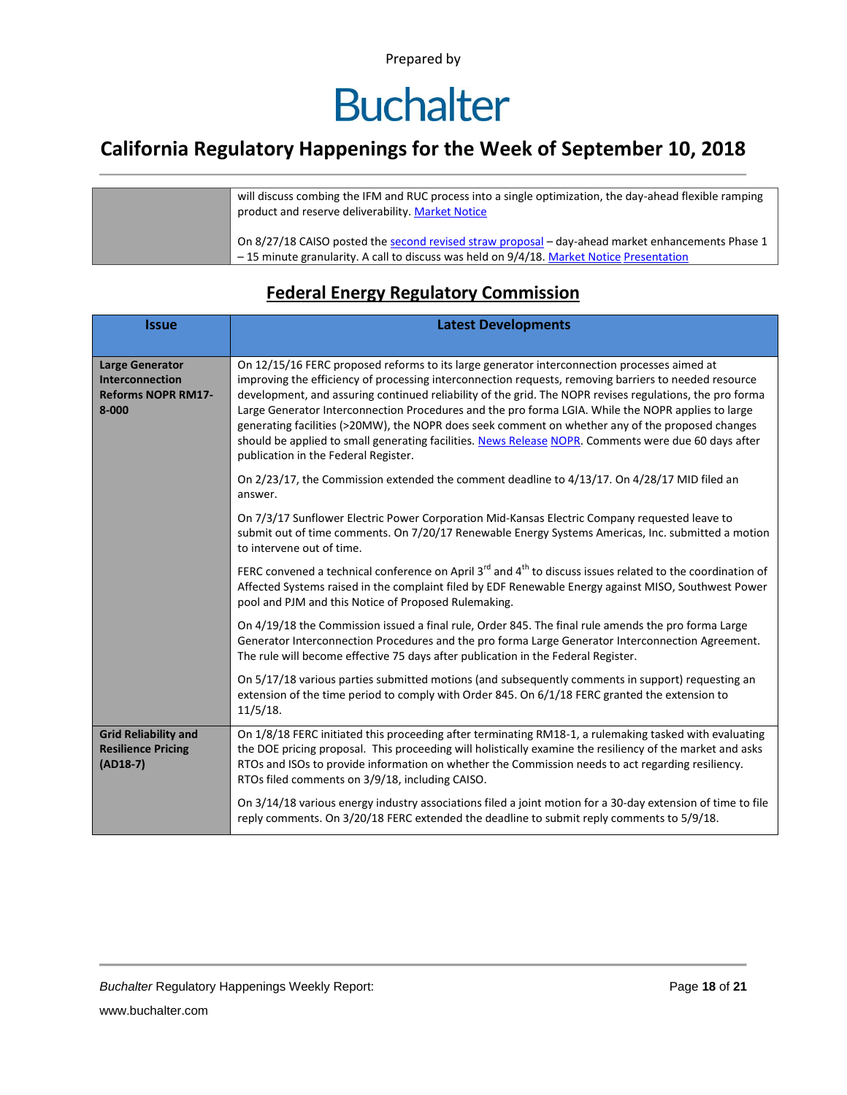## **Buchalter**

### **California Regulatory Happenings for the Week of September 10, 2018**

| will discuss combing the IFM and RUC process into a single optimization, the day-ahead flexible ramping<br>product and reserve deliverability. Market Notice                                  |
|-----------------------------------------------------------------------------------------------------------------------------------------------------------------------------------------------|
| On 8/27/18 CAISO posted the second revised straw proposal – day-ahead market enhancements Phase 1<br>-15 minute granularity. A call to discuss was held on 9/4/18. Market Notice Presentation |

#### **Federal Energy Regulatory Commission**

| <b>Issue</b>                                                                        | <b>Latest Developments</b>                                                                                                                                                                                                                                                                                                                                                                                                                                                                                                                                                                                                                                                 |  |  |  |  |
|-------------------------------------------------------------------------------------|----------------------------------------------------------------------------------------------------------------------------------------------------------------------------------------------------------------------------------------------------------------------------------------------------------------------------------------------------------------------------------------------------------------------------------------------------------------------------------------------------------------------------------------------------------------------------------------------------------------------------------------------------------------------------|--|--|--|--|
| <b>Large Generator</b><br>Interconnection<br><b>Reforms NOPR RM17-</b><br>$8 - 000$ | On 12/15/16 FERC proposed reforms to its large generator interconnection processes aimed at<br>improving the efficiency of processing interconnection requests, removing barriers to needed resource<br>development, and assuring continued reliability of the grid. The NOPR revises regulations, the pro forma<br>Large Generator Interconnection Procedures and the pro forma LGIA. While the NOPR applies to large<br>generating facilities (>20MW), the NOPR does seek comment on whether any of the proposed changes<br>should be applied to small generating facilities. News Release NOPR. Comments were due 60 days after<br>publication in the Federal Register. |  |  |  |  |
|                                                                                     | On 2/23/17, the Commission extended the comment deadline to 4/13/17. On 4/28/17 MID filed an<br>answer.                                                                                                                                                                                                                                                                                                                                                                                                                                                                                                                                                                    |  |  |  |  |
|                                                                                     | On 7/3/17 Sunflower Electric Power Corporation Mid-Kansas Electric Company requested leave to<br>submit out of time comments. On 7/20/17 Renewable Energy Systems Americas, Inc. submitted a motion<br>to intervene out of time.                                                                                                                                                                                                                                                                                                                                                                                                                                           |  |  |  |  |
|                                                                                     | FERC convened a technical conference on April $3^{rd}$ and $4^{th}$ to discuss issues related to the coordination of<br>Affected Systems raised in the complaint filed by EDF Renewable Energy against MISO, Southwest Power<br>pool and PJM and this Notice of Proposed Rulemaking.                                                                                                                                                                                                                                                                                                                                                                                       |  |  |  |  |
|                                                                                     | On 4/19/18 the Commission issued a final rule, Order 845. The final rule amends the pro forma Large<br>Generator Interconnection Procedures and the pro forma Large Generator Interconnection Agreement.<br>The rule will become effective 75 days after publication in the Federal Register.                                                                                                                                                                                                                                                                                                                                                                              |  |  |  |  |
|                                                                                     | On 5/17/18 various parties submitted motions (and subsequently comments in support) requesting an<br>extension of the time period to comply with Order 845. On 6/1/18 FERC granted the extension to<br>11/5/18.                                                                                                                                                                                                                                                                                                                                                                                                                                                            |  |  |  |  |
| <b>Grid Reliability and</b><br><b>Resilience Pricing</b><br>$(AD18-7)$              | On 1/8/18 FERC initiated this proceeding after terminating RM18-1, a rulemaking tasked with evaluating<br>the DOE pricing proposal. This proceeding will holistically examine the resiliency of the market and asks<br>RTOs and ISOs to provide information on whether the Commission needs to act regarding resiliency.<br>RTOs filed comments on 3/9/18, including CAISO.                                                                                                                                                                                                                                                                                                |  |  |  |  |
|                                                                                     | On 3/14/18 various energy industry associations filed a joint motion for a 30-day extension of time to file<br>reply comments. On 3/20/18 FERC extended the deadline to submit reply comments to 5/9/18.                                                                                                                                                                                                                                                                                                                                                                                                                                                                   |  |  |  |  |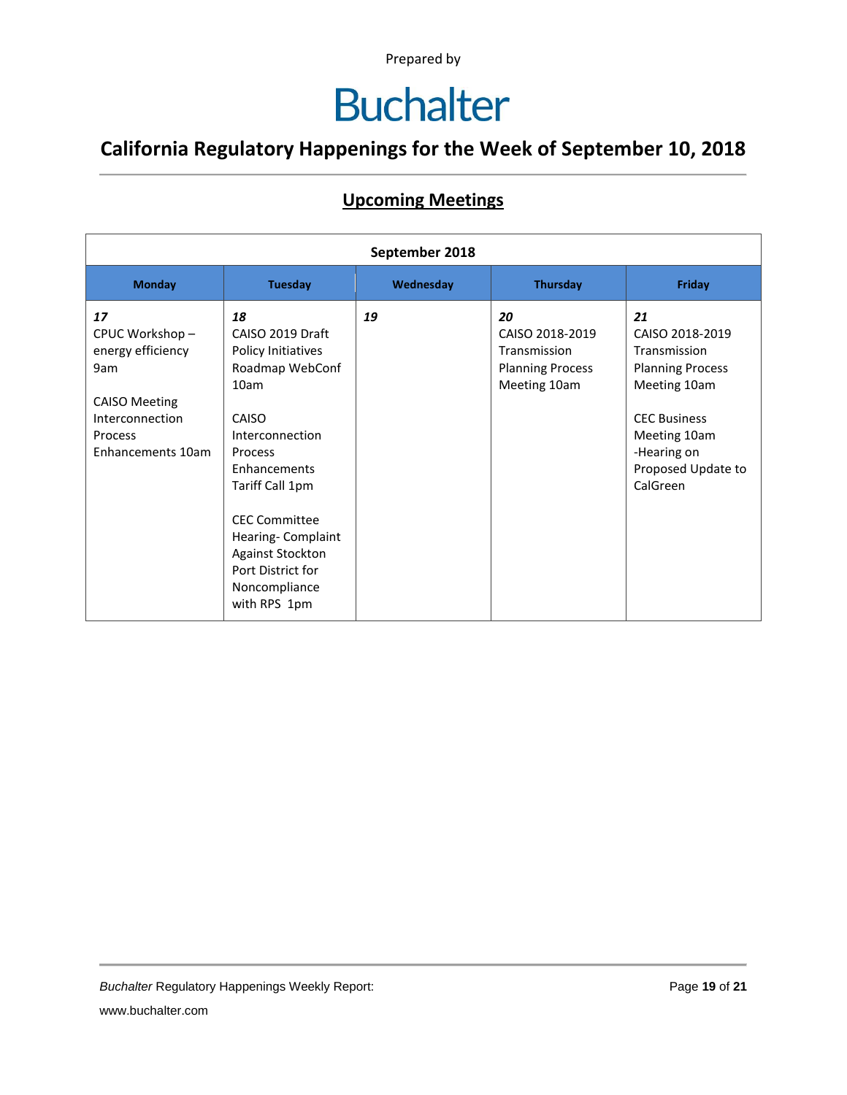## **Buchalter**

### **California Regulatory Happenings for the Week of September 10, 2018**

#### **Upcoming Meetings**

| September 2018                                                                                                              |                                                                                                                                                                                                                                                                                 |           |                                                                                  |                                                                                                                                                                          |
|-----------------------------------------------------------------------------------------------------------------------------|---------------------------------------------------------------------------------------------------------------------------------------------------------------------------------------------------------------------------------------------------------------------------------|-----------|----------------------------------------------------------------------------------|--------------------------------------------------------------------------------------------------------------------------------------------------------------------------|
| <b>Monday</b>                                                                                                               | <b>Tuesday</b>                                                                                                                                                                                                                                                                  | Wednesday | <b>Thursday</b>                                                                  | Friday                                                                                                                                                                   |
| 17<br>CPUC Workshop-<br>energy efficiency<br>9am<br><b>CAISO Meeting</b><br>Interconnection<br>Process<br>Enhancements 10am | 18<br>CAISO 2019 Draft<br>Policy Initiatives<br>Roadmap WebConf<br>10am<br>CAISO<br>Interconnection<br>Process<br>Enhancements<br>Tariff Call 1pm<br><b>CEC Committee</b><br>Hearing-Complaint<br><b>Against Stockton</b><br>Port District for<br>Noncompliance<br>with RPS 1pm | 19        | 20<br>CAISO 2018-2019<br>Transmission<br><b>Planning Process</b><br>Meeting 10am | 21<br>CAISO 2018-2019<br>Transmission<br><b>Planning Process</b><br>Meeting 10am<br><b>CEC Business</b><br>Meeting 10am<br>-Hearing on<br>Proposed Update to<br>CalGreen |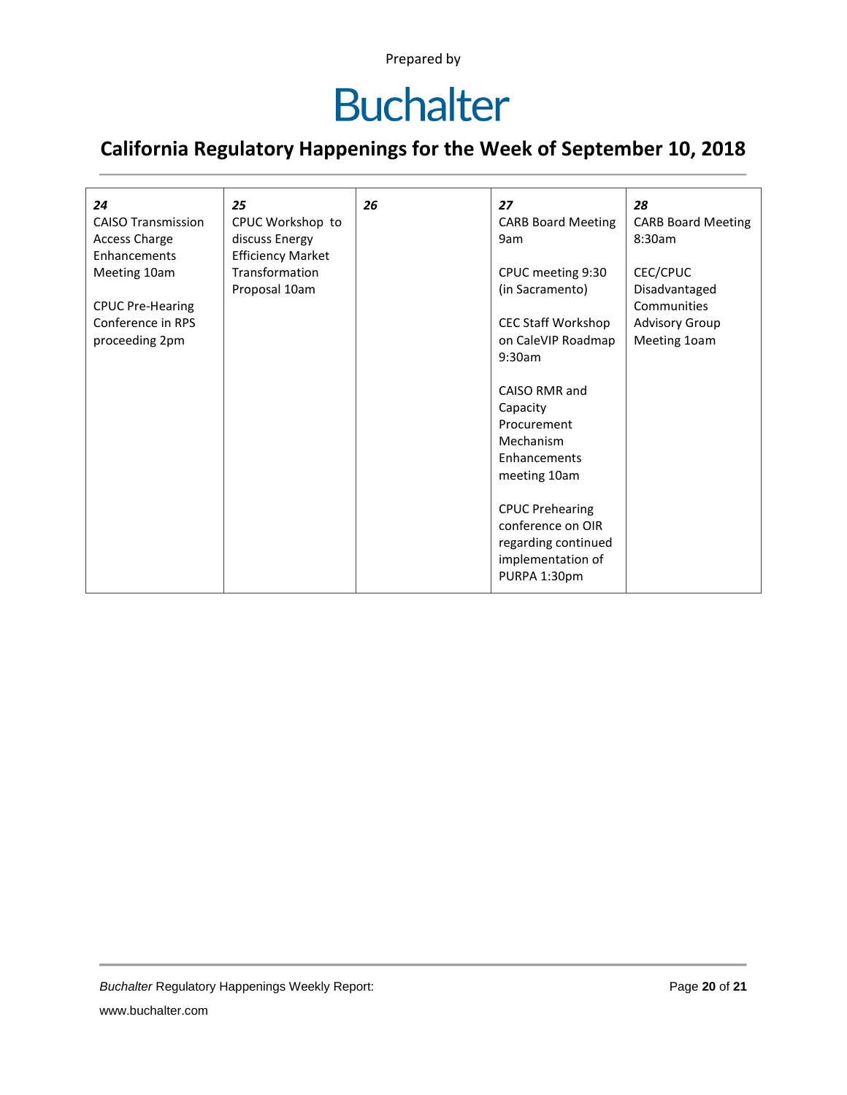### **Buchalter**

### **California Regulatory Happenings for the Week of September 10, 2018**

| 24                        | 25                       | 26 | 27                        | 28                        |
|---------------------------|--------------------------|----|---------------------------|---------------------------|
| <b>CAISO Transmission</b> | CPUC Workshop to         |    | <b>CARB Board Meeting</b> | <b>CARB Board Meeting</b> |
| <b>Access Charge</b>      | discuss Energy           |    | 9am                       | 8:30am                    |
| Enhancements              | <b>Efficiency Market</b> |    |                           |                           |
| Meeting 10am              | Transformation           |    | CPUC meeting 9:30         | CEC/CPUC                  |
|                           | Proposal 10am            |    | (in Sacramento)           | Disadvantaged             |
| <b>CPUC Pre-Hearing</b>   |                          |    |                           | Communities               |
| Conference in RPS         |                          |    | <b>CEC Staff Workshop</b> | <b>Advisory Group</b>     |
| proceeding 2pm            |                          |    | on CaleVIP Roadmap        | Meeting 10am              |
|                           |                          |    | 9:30am                    |                           |
|                           |                          |    |                           |                           |
|                           |                          |    | CAISO RMR and             |                           |
|                           |                          |    | Capacity                  |                           |
|                           |                          |    | Procurement               |                           |
|                           |                          |    | Mechanism                 |                           |
|                           |                          |    | Enhancements              |                           |
|                           |                          |    | meeting 10am              |                           |
|                           |                          |    |                           |                           |
|                           |                          |    | <b>CPUC Prehearing</b>    |                           |
|                           |                          |    | conference on OIR         |                           |
|                           |                          |    | regarding continued       |                           |
|                           |                          |    | implementation of         |                           |
|                           |                          |    | PURPA 1:30pm              |                           |